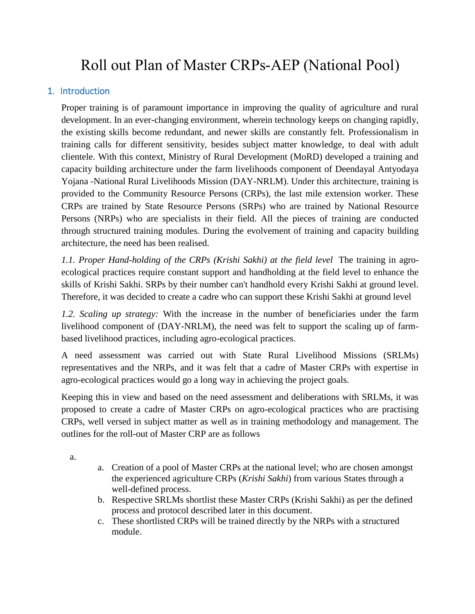# Roll out Plan of Master CRPs-AEP (National Pool)

### 1.Introduction

Proper training is of paramount importance in improving the quality of agriculture and rural development. In an ever-changing environment, wherein technology keeps on changing rapidly, the existing skills become redundant, and newer skills are constantly felt. Professionalism in training calls for different sensitivity, besides subject matter knowledge, to deal with adult clientele. With this context, Ministry of Rural Development (MoRD) developed a training and capacity building architecture under the farm livelihoods component of Deendayal Antyodaya Yojana -National Rural Livelihoods Mission (DAY-NRLM). Under this architecture, training is provided to the Community Resource Persons (CRPs), the last mile extension worker. These CRPs are trained by State Resource Persons (SRPs) who are trained by National Resource Persons (NRPs) who are specialists in their field. All the pieces of training are conducted through structured training modules. During the evolvement of training and capacity building architecture, the need has been realised.

1.1. Proper Hand-holding of the CRPs (Krishi Sakhi) at the field level The training in agroecological practices require constant support and handholding at the field level to enhance the skills of Krishi Sakhi. SRPs by their number can't handhold every Krishi Sakhi at ground level. Therefore, it was decided to create a cadre who can support these Krishi Sakhi at ground level

*1.2. Scaling up strategy:* With the increase in the number of beneficiaries under the farm livelihood component of (DAY-NRLM), the need was felt to support the scaling up of farmbased livelihood practices, including agro-ecological practices.

A need assessment was carried out with State Rural Livelihood Missions (SRLMs) representatives and the NRPs, and it was felt that a cadre of Master CRPs with expertise in agro-ecological practices would go a long way in achieving the project goals.

Keeping this in view and based on the need assessment and deliberations with SRLMs, it was proposed to create a cadre of Master CRPs on agro-ecological practices who are practising CRPs, well versed in subject matter as well as in training methodology and management. The outlines for the roll-out of Master CRP are as follows

a.

- a. Creation of a pool of Master CRPs at the national level; who are chosen amongst the experienced agriculture CRPs (*Krishi Sakhi*) from various States through a well-defined process.
- b. Respective SRLMs shortlist these Master CRPs (Krishi Sakhi) as per the defined process and protocol described later in this document.
- c. These shortlisted CRPs will be trained directly by the NRPs with a structured module.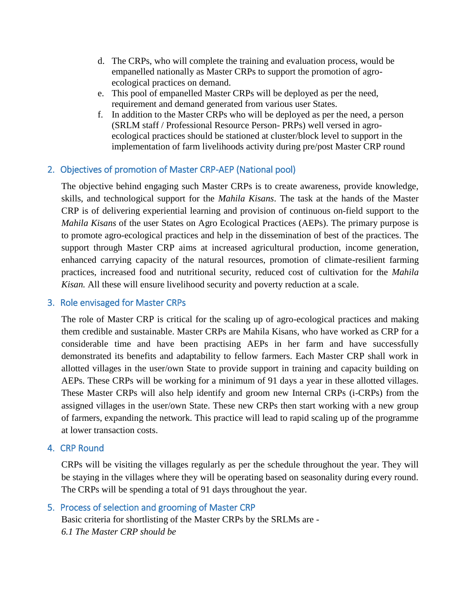- d. The CRPs, who will complete the training and evaluation process, would be empanelled nationally as Master CRPs to support the promotion of agroecological practices on demand.
- e. This pool of empanelled Master CRPs will be deployed as per the need, requirement and demand generated from various user States.
- f. In addition to the Master CRPs who will be deployed as per the need, a person (SRLM staff / Professional Resource Person- PRPs) well versed in agroecological practices should be stationed at cluster/block level to support in the implementation of farm livelihoods activity during pre/post Master CRP round

### 2.Objectives of promotion of Master CRP-AEP (National pool)

The objective behind engaging such Master CRPs is to create awareness, provide knowledge, skills, and technological support for the *Mahila Kisans*. The task at the hands of the Master CRP is of delivering experiential learning and provision of continuous on-field support to the *Mahila Kisans* of the user States on Agro Ecological Practices (AEPs). The primary purpose is to promote agro-ecological practices and help in the dissemination of best of the practices. The support through Master CRP aims at increased agricultural production, income generation, enhanced carrying capacity of the natural resources, promotion of climate-resilient farming practices, increased food and nutritional security, reduced cost of cultivation for the *Mahila Kisan.* All these will ensure livelihood security and poverty reduction at a scale.

### 3.Role envisaged for Master CRPs

The role of Master CRP is critical for the scaling up of agro-ecological practices and making them credible and sustainable. Master CRPs are Mahila Kisans, who have worked as CRP for a considerable time and have been practising AEPs in her farm and have successfully demonstrated its benefits and adaptability to fellow farmers. Each Master CRP shall work in allotted villages in the user/own State to provide support in training and capacity building on AEPs. These CRPs will be working for a minimum of 91 days a year in these allotted villages. These Master CRPs will also help identify and groom new Internal CRPs (i-CRPs) from the assigned villages in the user/own State. These new CRPs then start working with a new group of farmers, expanding the network. This practice will lead to rapid scaling up of the programme at lower transaction costs.

### 4.CRP Round

CRPs will be visiting the villages regularly as per the schedule throughout the year. They will be staying in the villages where they will be operating based on seasonality during every round. The CRPs will be spending a total of 91 days throughout the year.

### 5.Process of selection and grooming of Master CRP Basic criteria for shortlisting of the Master CRPs by the SRLMs are - *6.1 The Master CRP should be*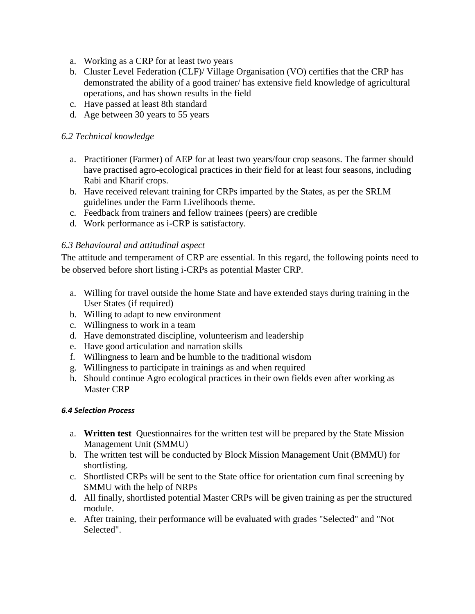- a. Working as a CRP for at least two years
- b. Cluster Level Federation (CLF)/ Village Organisation (VO) certifies that the CRP has demonstrated the ability of a good trainer/ has extensive field knowledge of agricultural operations, and has shown results in the field
- c. Have passed at least 8th standard
- d. Age between 30 years to 55 years

### *6.2 Technical knowledge*

- a. Practitioner (Farmer) of AEP for at least two years/four crop seasons. The farmer should have practised agro-ecological practices in their field for at least four seasons, including Rabi and Kharif crops.
- b. Have received relevant training for CRPs imparted by the States, as per the SRLM guidelines under the Farm Livelihoods theme.
- c. Feedback from trainers and fellow trainees (peers) are credible
- d. Work performance as i-CRP is satisfactory.

### *6.3 Behavioural and attitudinal aspect*

The attitude and temperament of CRP are essential. In this regard, the following points need to be observed before short listing i-CRPs as potential Master CRP.

- a. Willing for travel outside the home State and have extended stays during training in the User States (if required)
- b. Willing to adapt to new environment
- c. Willingness to work in a team
- d. Have demonstrated discipline, volunteerism and leadership
- e. Have good articulation and narration skills
- f. Willingness to learn and be humble to the traditional wisdom
- g. Willingness to participate in trainings as and when required
- h. Should continue Agro ecological practices in their own fields even after working as Master CRP

### *6.4 Selection Process*

- a. **Written test** Questionnaires for the written test will be prepared by the State Mission Management Unit (SMMU)
- b. The written test will be conducted by Block Mission Management Unit (BMMU) for shortlisting.
- c. Shortlisted CRPs will be sent to the State office for orientation cum final screening by SMMU with the help of NRPs
- d. All finally, shortlisted potential Master CRPs will be given training as per the structured module.
- e. After training, their performance will be evaluated with grades "Selected" and "Not Selected".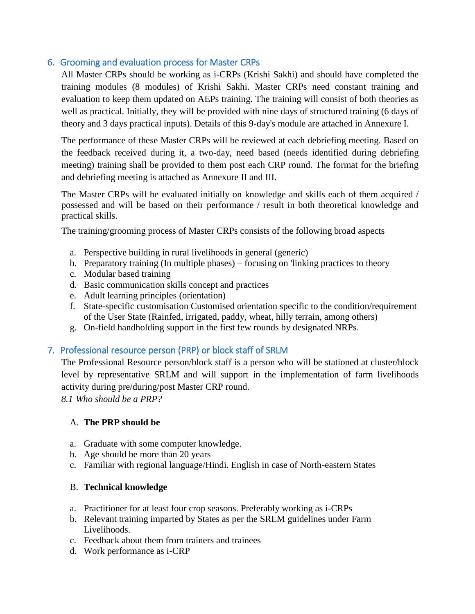### 6.Grooming and evaluation process for Master CRPs

All Master CRPs should be working as i-CRPs (Krishi Sakhi) and should have completed the training modules (8 modules) of Krishi Sakhi. Master CRPs need constant training and evaluation to keep them updated on AEPs training. The training will consist of both theories as well as practical. Initially, they will be provided with nine days of structured training (6 days of theory and 3 days practical inputs). Details of this 9-day's module are attached in Annexure I.

The performance of these Master CRPs will be reviewed at each debriefing meeting. Based on the feedback received during it, a two-day, need based (needs identified during debriefing meeting) training shall be provided to them post each CRP round. The format for the briefing and debriefing meeting is attached as Annexure II and III.

The Master CRPs will be evaluated initially on knowledge and skills each of them acquired / possessed and will be based on their performance / result in both theoretical knowledge and practical skills.

The training/grooming process of Master CRPs consists of the following broad aspects

- a. Perspective building in rural livelihoods in general (generic)
- b. Preparatory training (In multiple phases) focusing on 'linking practices to theory
- c. Modular based training
- d. Basic communication skills concept and practices
- e. Adult learning principles (orientation)
- f. State-specific customisation Customised orientation specific to the condition/requirement of the User State (Rainfed, irrigated, paddy, wheat, hilly terrain, among others)
- g. On-field handholding support in the first few rounds by designated NRPs.

### 7.Professional resource person (PRP) or block staff of SRLM

The Professional Resource person/block staff is a person who will be stationed at cluster/block level by representative SRLM and will support in the implementation of farm livelihoods activity during pre/during/post Master CRP round.

*8.1 Who should be a PRP?*

### A. **The PRP should be**

- a. Graduate with some computer knowledge.
- b. Age should be more than 20 years
- c. Familiar with regional language/Hindi. English in case of North-eastern States

### B. **Technical knowledge**

- a. Practitioner for at least four crop seasons. Preferably working as i-CRPs
- b. Relevant training imparted by States as per the SRLM guidelines under Farm Livelihoods.
- c. Feedback about them from trainers and trainees
- d. Work performance as i-CRP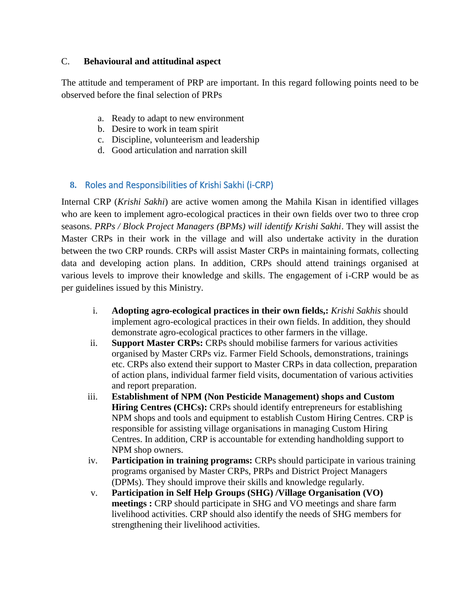### C. **Behavioural and attitudinal aspect**

The attitude and temperament of PRP are important. In this regard following points need to be observed before the final selection of PRPs

- a. Ready to adapt to new environment
- b. Desire to work in team spirit
- c. Discipline, volunteerism and leadership
- d. Good articulation and narration skill

### **8.** Roles and Responsibilities of Krishi Sakhi (i-CRP)

Internal CRP (*Krishi Sakhi*) are active women among the Mahila Kisan in identified villages who are keen to implement agro-ecological practices in their own fields over two to three crop seasons. *PRPs / Block Project Managers (BPMs) will identify Krishi Sakhi*. They will assist the Master CRPs in their work in the village and will also undertake activity in the duration between the two CRP rounds. CRPs will assist Master CRPs in maintaining formats, collecting data and developing action plans. In addition, CRPs should attend trainings organised at various levels to improve their knowledge and skills. The engagement of i-CRP would be as per guidelines issued by this Ministry.

- i. **Adopting agro-ecological practices in their own fields,:** *Krishi Sakhis* should implement agro-ecological practices in their own fields. In addition, they should demonstrate agro-ecological practices to other farmers in the village.
- ii. **Support Master CRPs:** CRPs should mobilise farmers for various activities organised by Master CRPs viz. Farmer Field Schools, demonstrations, trainings etc. CRPs also extend their support to Master CRPs in data collection, preparation of action plans, individual farmer field visits, documentation of various activities and report preparation.
- iii. **Establishment of NPM (Non Pesticide Management) shops and Custom Hiring Centres (CHCs):** CRPs should identify entrepreneurs for establishing NPM shops and tools and equipment to establish Custom Hiring Centres. CRP is responsible for assisting village organisations in managing Custom Hiring Centres. In addition, CRP is accountable for extending handholding support to NPM shop owners.
- iv. **Participation in training programs:** CRPs should participate in various training programs organised by Master CRPs, PRPs and District Project Managers (DPMs). They should improve their skills and knowledge regularly.
- v. **Participation in Self Help Groups (SHG) /Village Organisation (VO) meetings :** CRP should participate in SHG and VO meetings and share farm livelihood activities. CRP should also identify the needs of SHG members for strengthening their livelihood activities.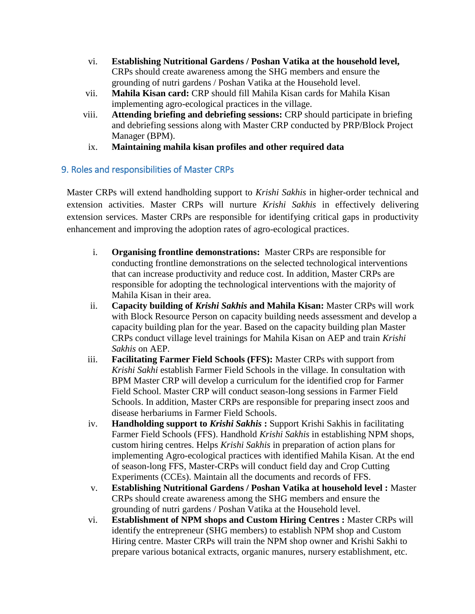- vi. **Establishing Nutritional Gardens / Poshan Vatika at the household level,**  CRPs should create awareness among the SHG members and ensure the grounding of nutri gardens / Poshan Vatika at the Household level.
- vii. **Mahila Kisan card:** CRP should fill Mahila Kisan cards for Mahila Kisan implementing agro-ecological practices in the village.
- viii. **Attending briefing and debriefing sessions:** CRP should participate in briefing and debriefing sessions along with Master CRP conducted by PRP/Block Project Manager (BPM).
- ix. **Maintaining mahila kisan profiles and other required data**

### 9. Roles and responsibilities of Master CRPs

Master CRPs will extend handholding support to *Krishi Sakhis* in higher-order technical and extension activities. Master CRPs will nurture *Krishi Sakhis* in effectively delivering extension services. Master CRPs are responsible for identifying critical gaps in productivity enhancement and improving the adoption rates of agro-ecological practices.

- i. **Organising frontline demonstrations:** Master CRPs are responsible for conducting frontline demonstrations on the selected technological interventions that can increase productivity and reduce cost. In addition, Master CRPs are responsible for adopting the technological interventions with the majority of Mahila Kisan in their area.
- ii. **Capacity building of** *Krishi Sakhis* **and Mahila Kisan:** Master CRPs will work with Block Resource Person on capacity building needs assessment and develop a capacity building plan for the year. Based on the capacity building plan Master CRPs conduct village level trainings for Mahila Kisan on AEP and train *Krishi Sakhis* on AEP.
- iii. **Facilitating Farmer Field Schools (FFS):** Master CRPs with support from *Krishi Sakhi* establish Farmer Field Schools in the village. In consultation with BPM Master CRP will develop a curriculum for the identified crop for Farmer Field School. Master CRP will conduct season-long sessions in Farmer Field Schools. In addition, Master CRPs are responsible for preparing insect zoos and disease herbariums in Farmer Field Schools.
- iv. **Handholding support to** *Krishi Sakhis* **:** Support Krishi Sakhis in facilitating Farmer Field Schools (FFS). Handhold *Krishi Sakhis* in establishing NPM shops, custom hiring centres. Helps *Krishi Sakhis* in preparation of action plans for implementing Agro-ecological practices with identified Mahila Kisan. At the end of season-long FFS, Master-CRPs will conduct field day and Crop Cutting Experiments (CCEs). Maintain all the documents and records of FFS.
- v. **Establishing Nutritional Gardens / Poshan Vatika at household level :** Master CRPs should create awareness among the SHG members and ensure the grounding of nutri gardens / Poshan Vatika at the Household level.
- vi. **Establishment of NPM shops and Custom Hiring Centres :** Master CRPs will identify the entrepreneur (SHG members) to establish NPM shop and Custom Hiring centre. Master CRPs will train the NPM shop owner and Krishi Sakhi to prepare various botanical extracts, organic manures, nursery establishment, etc.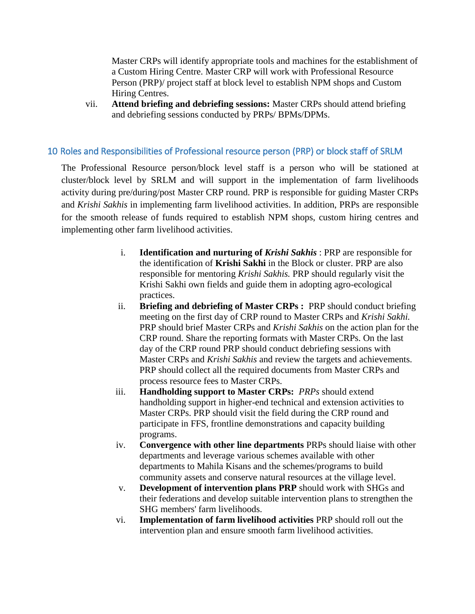Master CRPs will identify appropriate tools and machines for the establishment of a Custom Hiring Centre. Master CRP will work with Professional Resource Person (PRP)/ project staff at block level to establish NPM shops and Custom Hiring Centres.

vii. **Attend briefing and debriefing sessions:** Master CRPs should attend briefing and debriefing sessions conducted by PRPs/ BPMs/DPMs.

### 10 Roles and Responsibilities of Professional resource person (PRP) or block staff of SRLM

The Professional Resource person/block level staff is a person who will be stationed at cluster/block level by SRLM and will support in the implementation of farm livelihoods activity during pre/during/post Master CRP round. PRP is responsible for guiding Master CRPs and *Krishi Sakhis* in implementing farm livelihood activities. In addition, PRPs are responsible for the smooth release of funds required to establish NPM shops, custom hiring centres and implementing other farm livelihood activities.

- i. **Identification and nurturing of** *Krishi Sakhis* : PRP are responsible for the identification of **Krishi Sakhi** in the Block or cluster. PRP are also responsible for mentoring *Krishi Sakhis.* PRP should regularly visit the Krishi Sakhi own fields and guide them in adopting agro-ecological practices.
- ii. **Briefing and debriefing of Master CRPs :** PRP should conduct briefing meeting on the first day of CRP round to Master CRPs and *Krishi Sakhi.* PRP should brief Master CRPs and *Krishi Sakhis* on the action plan for the CRP round. Share the reporting formats with Master CRPs. On the last day of the CRP round PRP should conduct debriefing sessions with Master CRPs and *Krishi Sakhis* and review the targets and achievements. PRP should collect all the required documents from Master CRPs and process resource fees to Master CRPs.
- iii. **Handholding support to Master CRPs:** *PRPs* should extend handholding support in higher-end technical and extension activities to Master CRPs. PRP should visit the field during the CRP round and participate in FFS, frontline demonstrations and capacity building programs.
- iv. **Convergence with other line departments** PRPs should liaise with other departments and leverage various schemes available with other departments to Mahila Kisans and the schemes/programs to build community assets and conserve natural resources at the village level.
- v. **Development of intervention plans PRP** should work with SHGs and their federations and develop suitable intervention plans to strengthen the SHG members' farm livelihoods.
- vi. **Implementation of farm livelihood activities** PRP should roll out the intervention plan and ensure smooth farm livelihood activities.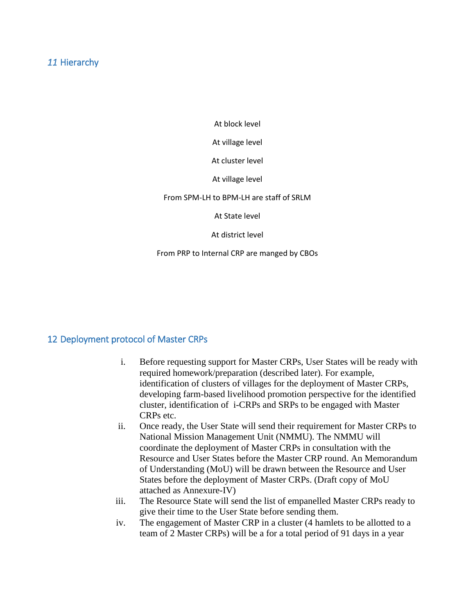### *11* Hierarchy

At block level

At village level

At cluster level

At village level

#### From SPM-LH to BPM-LH are staff of SRLM

At State level

At district level

From PRP to Internal CRP are manged by CBOs

### 12 Deployment protocol of Master CRPs

- i. Before requesting support for Master CRPs, User States will be ready with required homework/preparation (described later). For example, identification of clusters of villages for the deployment of Master CRPs, developing farm-based livelihood promotion perspective for the identified cluster, identification of i-CRPs and SRPs to be engaged with Master CRPs etc.
- ii. Once ready, the User State will send their requirement for Master CRPs to National Mission Management Unit (NMMU). The NMMU will coordinate the deployment of Master CRPs in consultation with the Resource and User States before the Master CRP round. An Memorandum of Understanding (MoU) will be drawn between the Resource and User States before the deployment of Master CRPs. (Draft copy of MoU attached as Annexure-IV)
- iii. The Resource State will send the list of empanelled Master CRPs ready to give their time to the User State before sending them.
- iv. The engagement of Master CRP in a cluster (4 hamlets to be allotted to a team of 2 Master CRPs) will be a for a total period of 91 days in a year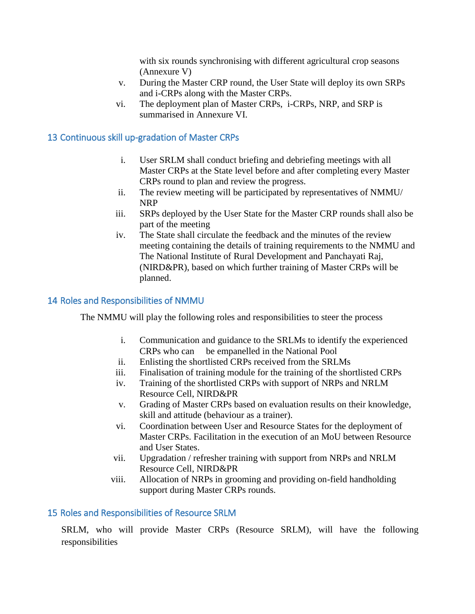with six rounds synchronising with different agricultural crop seasons (Annexure V)

- v. During the Master CRP round, the User State will deploy its own SRPs and i-CRPs along with the Master CRPs.
- vi. The deployment plan of Master CRPs, i-CRPs, NRP, and SRP is summarised in Annexure VI.

### 13 Continuous skill up-gradation of Master CRPs

- i. User SRLM shall conduct briefing and debriefing meetings with all Master CRPs at the State level before and after completing every Master CRPs round to plan and review the progress.
- ii. The review meeting will be participated by representatives of NMMU/ NRP
- iii. SRPs deployed by the User State for the Master CRP rounds shall also be part of the meeting
- iv. The State shall circulate the feedback and the minutes of the review meeting containing the details of training requirements to the NMMU and The National Institute of Rural Development and Panchayati Raj, (NIRD&PR), based on which further training of Master CRPs will be planned.

### 14 Roles and Responsibilities of NMMU

The NMMU will play the following roles and responsibilities to steer the process

- i. Communication and guidance to the SRLMs to identify the experienced CRPs who can be empanelled in the National Pool
- ii. Enlisting the shortlisted CRPs received from the SRLMs
- iii. Finalisation of training module for the training of the shortlisted CRPs
- iv. Training of the shortlisted CRPs with support of NRPs and NRLM Resource Cell, NIRD&PR
- v. Grading of Master CRPs based on evaluation results on their knowledge, skill and attitude (behaviour as a trainer).
- vi. Coordination between User and Resource States for the deployment of Master CRPs. Facilitation in the execution of an MoU between Resource and User States.
- vii. Upgradation / refresher training with support from NRPs and NRLM Resource Cell, NIRD&PR
- viii. Allocation of NRPs in grooming and providing on-field handholding support during Master CRPs rounds.

### 15 Roles and Responsibilities of Resource SRLM

SRLM, who will provide Master CRPs (Resource SRLM), will have the following responsibilities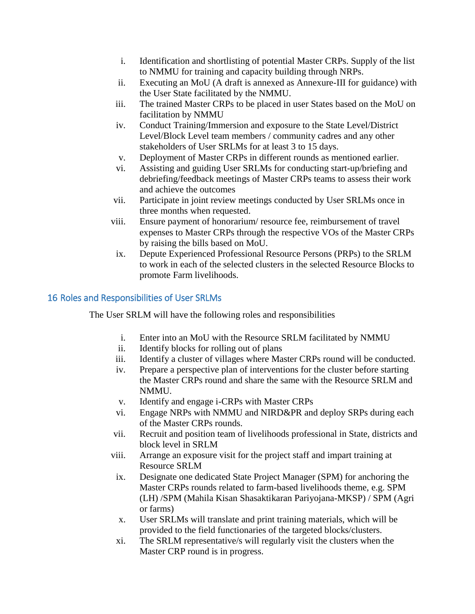- i. Identification and shortlisting of potential Master CRPs. Supply of the list to NMMU for training and capacity building through NRPs.
- ii. Executing an MoU (A draft is annexed as Annexure-III for guidance) with the User State facilitated by the NMMU.
- iii. The trained Master CRPs to be placed in user States based on the MoU on facilitation by NMMU
- iv. Conduct Training/Immersion and exposure to the State Level/District Level/Block Level team members / community cadres and any other stakeholders of User SRLMs for at least 3 to 15 days.
- v. Deployment of Master CRPs in different rounds as mentioned earlier.
- vi. Assisting and guiding User SRLMs for conducting start-up/briefing and debriefing/feedback meetings of Master CRPs teams to assess their work and achieve the outcomes
- vii. Participate in joint review meetings conducted by User SRLMs once in three months when requested.
- viii. Ensure payment of honorarium/ resource fee, reimbursement of travel expenses to Master CRPs through the respective VOs of the Master CRPs by raising the bills based on MoU.
- ix. Depute Experienced Professional Resource Persons (PRPs) to the SRLM to work in each of the selected clusters in the selected Resource Blocks to promote Farm livelihoods.

### 16 Roles and Responsibilities of User SRLMs

The User SRLM will have the following roles and responsibilities

- i. Enter into an MoU with the Resource SRLM facilitated by NMMU
- ii. Identify blocks for rolling out of plans
- iii. Identify a cluster of villages where Master CRPs round will be conducted.
- iv. Prepare a perspective plan of interventions for the cluster before starting the Master CRPs round and share the same with the Resource SRLM and NMMU.
- v. Identify and engage i-CRPs with Master CRPs
- vi. Engage NRPs with NMMU and NIRD&PR and deploy SRPs during each of the Master CRPs rounds.
- vii. Recruit and position team of livelihoods professional in State, districts and block level in SRLM
- viii. Arrange an exposure visit for the project staff and impart training at Resource SRLM
- ix. Designate one dedicated State Project Manager (SPM) for anchoring the Master CRPs rounds related to farm-based livelihoods theme, e.g. SPM (LH) /SPM (Mahila Kisan Shasaktikaran Pariyojana-MKSP) / SPM (Agri or farms)
- x. User SRLMs will translate and print training materials, which will be provided to the field functionaries of the targeted blocks/clusters.
- xi. The SRLM representative/s will regularly visit the clusters when the Master CRP round is in progress.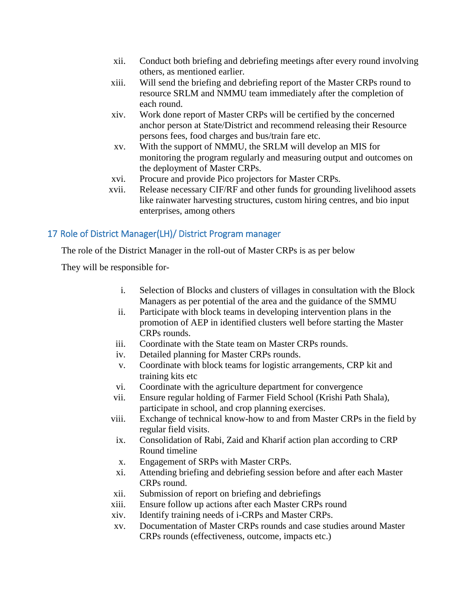- xii. Conduct both briefing and debriefing meetings after every round involving others, as mentioned earlier.
- xiii. Will send the briefing and debriefing report of the Master CRPs round to resource SRLM and NMMU team immediately after the completion of each round.
- xiv. Work done report of Master CRPs will be certified by the concerned anchor person at State/District and recommend releasing their Resource persons fees, food charges and bus/train fare etc.
- xv. With the support of NMMU, the SRLM will develop an MIS for monitoring the program regularly and measuring output and outcomes on the deployment of Master CRPs.
- xvi. Procure and provide Pico projectors for Master CRPs.
- xvii. Release necessary CIF/RF and other funds for grounding livelihood assets like rainwater harvesting structures, custom hiring centres, and bio input enterprises, among others

### 17 Role of District Manager(LH)/ District Program manager

The role of the District Manager in the roll-out of Master CRPs is as per below

They will be responsible for-

- i. Selection of Blocks and clusters of villages in consultation with the Block Managers as per potential of the area and the guidance of the SMMU
- ii. Participate with block teams in developing intervention plans in the promotion of AEP in identified clusters well before starting the Master CRPs rounds.
- iii. Coordinate with the State team on Master CRPs rounds.
- iv. Detailed planning for Master CRPs rounds.
- v. Coordinate with block teams for logistic arrangements, CRP kit and training kits etc
- vi. Coordinate with the agriculture department for convergence
- vii. Ensure regular holding of Farmer Field School (Krishi Path Shala), participate in school, and crop planning exercises.
- viii. Exchange of technical know-how to and from Master CRPs in the field by regular field visits.
- ix. Consolidation of Rabi, Zaid and Kharif action plan according to CRP Round timeline
- x. Engagement of SRPs with Master CRPs.
- xi. Attending briefing and debriefing session before and after each Master CRPs round.
- xii. Submission of report on briefing and debriefings
- xiii. Ensure follow up actions after each Master CRPs round
- xiv. Identify training needs of i-CRPs and Master CRPs.
- xv. Documentation of Master CRPs rounds and case studies around Master CRPs rounds (effectiveness, outcome, impacts etc.)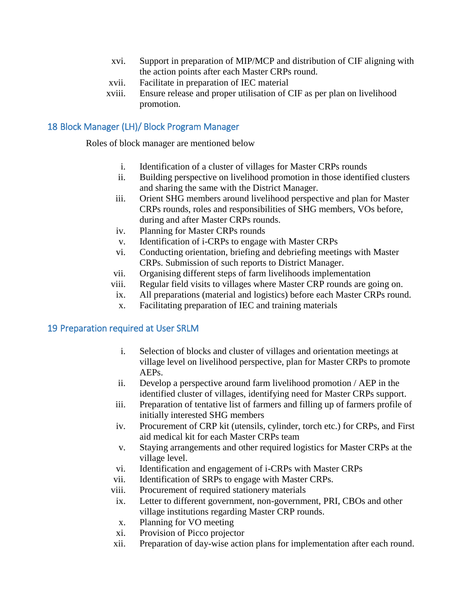- xvi. Support in preparation of MIP/MCP and distribution of CIF aligning with the action points after each Master CRPs round.
- xvii. Facilitate in preparation of IEC material
- xviii. Ensure release and proper utilisation of CIF as per plan on livelihood promotion.

### 18 Block Manager (LH)/ Block Program Manager

Roles of block manager are mentioned below

- i. Identification of a cluster of villages for Master CRPs rounds
- ii. Building perspective on livelihood promotion in those identified clusters and sharing the same with the District Manager.
- iii. Orient SHG members around livelihood perspective and plan for Master CRPs rounds, roles and responsibilities of SHG members, VOs before, during and after Master CRPs rounds.
- iv. Planning for Master CRPs rounds
- v. Identification of i-CRPs to engage with Master CRPs
- vi. Conducting orientation, briefing and debriefing meetings with Master CRPs. Submission of such reports to District Manager.
- vii. Organising different steps of farm livelihoods implementation
- viii. Regular field visits to villages where Master CRP rounds are going on.
- ix. All preparations (material and logistics) before each Master CRPs round.
- x. Facilitating preparation of IEC and training materials

### 19 Preparation required at User SRLM

- i. Selection of blocks and cluster of villages and orientation meetings at village level on livelihood perspective, plan for Master CRPs to promote AEPs.
- ii. Develop a perspective around farm livelihood promotion / AEP in the identified cluster of villages, identifying need for Master CRPs support.
- iii. Preparation of tentative list of farmers and filling up of farmers profile of initially interested SHG members
- iv. Procurement of CRP kit (utensils, cylinder, torch etc.) for CRPs, and First aid medical kit for each Master CRPs team
- v. Staying arrangements and other required logistics for Master CRPs at the village level.
- vi. Identification and engagement of i-CRPs with Master CRPs
- vii. Identification of SRPs to engage with Master CRPs.
- viii. Procurement of required stationery materials
- ix. Letter to different government, non-government, PRI, CBOs and other village institutions regarding Master CRP rounds.
- x. Planning for VO meeting
- xi. Provision of Picco projector
- xii. Preparation of day-wise action plans for implementation after each round.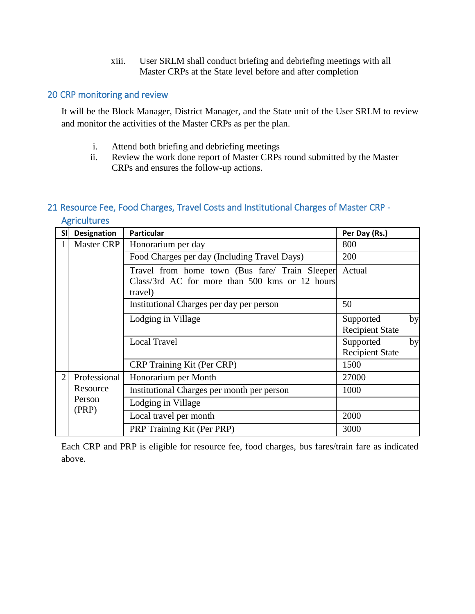xiii. User SRLM shall conduct briefing and debriefing meetings with all Master CRPs at the State level before and after completion

### 20 CRP monitoring and review

It will be the Block Manager, District Manager, and the State unit of the User SRLM to review and monitor the activities of the Master CRPs as per the plan.

- i. Attend both briefing and debriefing meetings
- ii. Review the work done report of Master CRPs round submitted by the Master CRPs and ensures the follow-up actions.

### 21 Resource Fee, Food Charges, Travel Costs and Institutional Charges of Master CRP - **Agricultures**

| <b>SI</b>      | <b>Designation</b> | <b>Particular</b>                                                                                           | Per Day (Rs.)                       |    |  |
|----------------|--------------------|-------------------------------------------------------------------------------------------------------------|-------------------------------------|----|--|
|                | Master CRP         | Honorarium per day                                                                                          | 800                                 |    |  |
|                |                    | Food Charges per day (Including Travel Days)                                                                | 200                                 |    |  |
|                |                    | Travel from home town (Bus fare/ Train Sleeper<br>Class/3rd AC for more than 500 kms or 12 hours<br>travel) | Actual                              |    |  |
|                |                    | Institutional Charges per day per person                                                                    | 50                                  |    |  |
|                |                    | Lodging in Village                                                                                          | Supported<br><b>Recipient State</b> | by |  |
|                |                    | <b>Local Travel</b>                                                                                         | Supported<br><b>Recipient State</b> | by |  |
|                |                    | CRP Training Kit (Per CRP)                                                                                  | 1500                                |    |  |
| $\overline{2}$ | Professional       | Honorarium per Month                                                                                        | 27000                               |    |  |
|                | Resource           | Institutional Charges per month per person                                                                  | 1000                                |    |  |
|                | Person             | Lodging in Village                                                                                          |                                     |    |  |
|                | (PRP)              | Local travel per month                                                                                      | 2000                                |    |  |
|                |                    | PRP Training Kit (Per PRP)                                                                                  | 3000                                |    |  |

Each CRP and PRP is eligible for resource fee, food charges, bus fares/train fare as indicated above.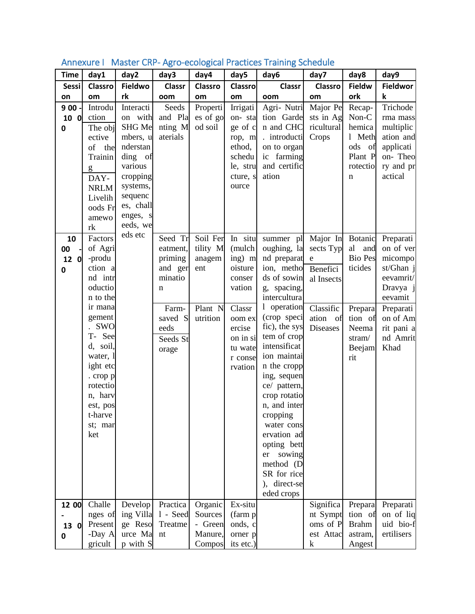| <b>Time</b>  | day1                 | day2                | day3                     | day4           | day5           | day6                        | day7                  | day8                 | day9            |
|--------------|----------------------|---------------------|--------------------------|----------------|----------------|-----------------------------|-----------------------|----------------------|-----------------|
| <b>Sessi</b> | <b>Classro</b>       | Fieldwo             | <b>Classr</b>            | <b>Classro</b> | <b>Classro</b> | <b>Classr</b>               | <b>Classro</b>        | <b>Fieldw</b>        | <b>Fieldwor</b> |
| on           | om                   | rk                  | oom                      | om             | om             | oom                         | om                    | ork                  | k               |
| 9 0 0        | Introdu              | Interacti           | Seeds                    | Properti       | Irrigati       | Agri- Nutri                 | Major Pe              | Recap-               | Trichode        |
| 10 0         | ction                | on with             | and Pla                  | es of go       | on-sta         | tion Garde                  | sts in Ag             | Non-C                | rma mass        |
| 0            | The obj              | SHG Me              | nting M                  | od soil        | ge of c        | n and CHC                   | ricultural            | hemica               | multiplic       |
|              | ective               | mbers, u            | aterials                 |                | rop, m         | . introducti                | Crops                 | 1 Meth               | ation and       |
|              | of<br>the            | nderstan            |                          |                | ethod,         | on to organ                 |                       | ods<br>of            | applicati       |
|              | Trainin              | ding of             |                          |                | schedu         | ic farming                  |                       | Plant P              | on-Theo         |
|              | g                    | various             |                          |                | le, stru       | and certific                |                       | rotectio             | ry and pr       |
|              | DAY-                 | cropping            |                          |                | cture, s       | ation                       |                       | n                    | actical         |
|              | <b>NRLM</b>          | systems,<br>sequenc |                          |                | ource          |                             |                       |                      |                 |
|              | Livelih              | es, chall           |                          |                |                |                             |                       |                      |                 |
|              | oods Fr              | enges, s            |                          |                |                |                             |                       |                      |                 |
|              | amewo<br>rk          | eeds, we            |                          |                |                |                             |                       |                      |                 |
| 10           | Factors              | eds etc             | Seed Tr                  | Soil Fer       | In situ        |                             |                       |                      | Preparati       |
| 00           | of Agri              |                     | eatment,                 | tility M       | (mulch         | summer pl<br>oughing, la    | Major In<br>sects Typ | Botanic<br>al<br>and | on of ver       |
| 12 0         | -produ               |                     | priming                  | anagem         | ing) m         | nd preparat                 | ${\rm e}$             | <b>Bio Pes</b>       | micompo         |
| 0            | ction a              |                     | and ger                  | ent            | oisture        | ion, metho                  | Benefici              | ticides              | st/Ghan j       |
|              | nd intr              |                     | minatio                  |                | conser         | ds of sowin                 | al Insects            |                      | eevamrit/       |
|              | oductio              |                     | n                        |                | vation         | g, spacing,                 |                       |                      | Dravya j        |
|              | n to the             |                     |                          |                |                | intercultura                |                       |                      | eevamit         |
|              | ir mana              |                     | Farm-                    | Plant N        | Classr         | 1 operation                 | Classific             | Prepara              | Preparati       |
|              | gement               |                     | saved S                  | utrition       | oom ex         | (crop speci                 | ation<br>of           | tion of              | on of Am        |
|              | SWO                  |                     | eeds                     |                | ercise         | fic), the sys               | Diseases              | Neema                | rit pani a      |
|              | T- See               |                     | Seeds St                 |                | on in si       | tem of crop                 |                       | stram/               | nd Amrit        |
|              | d, soil,             |                     | orage                    |                | tu wate        | intensificat                |                       | Beejam               | Khad            |
|              | water, 1             |                     |                          |                | r conse        | ion maintai                 |                       | rit                  |                 |
|              | ight etc             |                     |                          |                | rvation        | n the cropp                 |                       |                      |                 |
|              | . crop p<br>rotectio |                     |                          |                |                | ing, sequen<br>ce/ pattern, |                       |                      |                 |
|              | n, harv              |                     |                          |                |                | crop rotatio                |                       |                      |                 |
|              | est, pos             |                     |                          |                |                | n, and inter                |                       |                      |                 |
|              | t-harve              |                     |                          |                |                | cropping                    |                       |                      |                 |
|              | st; mar              |                     |                          |                |                | water cons                  |                       |                      |                 |
|              | ket                  |                     |                          |                |                | ervation ad                 |                       |                      |                 |
|              |                      |                     |                          |                |                | opting bett                 |                       |                      |                 |
|              |                      |                     |                          |                |                | sowing<br>er                |                       |                      |                 |
|              |                      |                     |                          |                |                | method (D                   |                       |                      |                 |
|              |                      |                     |                          |                |                | SR for rice                 |                       |                      |                 |
|              |                      |                     |                          |                |                | ), direct-se                |                       |                      |                 |
|              |                      |                     |                          |                |                | eded crops                  |                       |                      |                 |
| 12 00        | Challe               | Develop             | Practica                 | Organic        | Ex-situ        |                             | Significa             | Prepara              | Preparati       |
|              | nges of              | ing Villa           | 1 - Seed                 | Sources        | (farm p        |                             | nt Sympt              | tion of              | on of liq       |
| 13 0         | Present              | ge Reso             | Treatme                  | - Green        | onds, c        |                             | oms of P              | <b>Brahm</b>         | uid bio-f       |
| 0            | -Day A               | urce Ma             | $\mathop{\hbox{\rm nt}}$ | Manure,        | orner p        |                             | est Attac             | astram,              | ertilisers      |
|              | gricult              | p with S            |                          | Compos         | its etc.)      |                             | k                     | Angest               |                 |

### Annexure | Master CRP- Agro-ecological Practices Training Schedule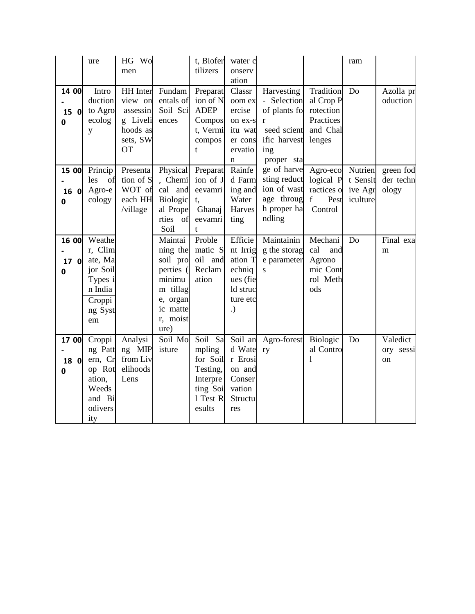|                    | ure                                                                                       | HG Wo<br>men                                                                            |                                                                                                                | t, Biofer<br>tilizers                                                                   | water c<br>onserv<br>ation                                                         |                                                                                                    |                                                                              | ram                 |                                 |
|--------------------|-------------------------------------------------------------------------------------------|-----------------------------------------------------------------------------------------|----------------------------------------------------------------------------------------------------------------|-----------------------------------------------------------------------------------------|------------------------------------------------------------------------------------|----------------------------------------------------------------------------------------------------|------------------------------------------------------------------------------|---------------------|---------------------------------|
| 14 00<br>15 0<br>0 | Intro<br>duction<br>to Agro<br>ecolog<br>y                                                | <b>HH</b> Inter<br>view on<br>assessin<br>g Liveli<br>hoods as<br>sets, SW<br><b>OT</b> | Fundam<br>entals of<br>Soil Sci<br>ences                                                                       | Preparat<br>ion of N<br><b>ADEP</b><br>Compos<br>t, Vermi<br>compos<br>t                | Classr<br>oom ex<br>ercise<br>on ex-s<br>itu wat<br>er cons<br>ervatio<br>n        | Harvesting<br>- Selection<br>of plants fo<br>r<br>seed scient<br>ific harvest<br>ing<br>proper sta | Tradition<br>al Crop P<br>rotection<br>Practices<br>and Chal<br>lenges       | Do                  | Azolla pr<br>oduction           |
| 15 00<br>16 0<br>0 | Princip<br>les<br>of<br>Agro-e<br>cology                                                  | Presenta<br>tion of S<br>WOT of<br>each HH<br>/village                                  | Physical<br>, Chemi<br>cal and<br>Biologic<br>al Prope<br>rties of<br>Soil                                     | Preparat<br>ion of J<br>eevamri<br>t,<br>Ghanaj<br>eevamri<br>$\mathbf{t}$              | Rainfe<br>d Farm<br>ing and<br>Water<br>Harves<br>ting                             | ge of harve<br>sting reduct<br>ion of wast<br>age throug<br>h proper ha<br>ndling                  | Agro-eco Nutrien<br>logical P t Sensit<br>ractices o<br>f<br>Pest<br>Control | ive Agr<br>iculture | green fod<br>der techn<br>ology |
| 16 00<br>17 O<br>0 | Weathe<br>r, Clim<br>ate, Ma<br>jor Soil<br>Types i<br>n India<br>Croppi<br>ng Syst<br>em |                                                                                         | Maintai<br>ning the<br>soil pro<br>perties (<br>minimu<br>m tillag<br>e, organ<br>ic matte<br>r, moist<br>ure) | Proble<br>matic S<br>oil and<br>Reclam<br>ation                                         | Efficie<br>nt Irrig<br>ation T<br>echniq<br>ues (fie<br>ld struc<br>ture etc<br>.) | Maintainin<br>g the storag<br>e parameter<br>S                                                     | Mechani<br>cal<br>and<br>Agrono<br>mic Cont<br>rol Meth<br>ods               | Do                  | Final exa<br>m                  |
| 17 00<br>18 0<br>0 | Croppi<br>ng Patt<br>ern, Cr<br>op Rot<br>ation,<br>Weeds<br>and Bi<br>odivers<br>ity     | Analysi<br>ng MIP<br>from Liv<br>elihoods<br>Lens                                       | Soil Mo<br>isture                                                                                              | Soil Sa<br>mpling<br>for Soil<br>Testing,<br>Interpre<br>ting Soi<br>1 Test R<br>esults | Soil an<br>d Wate<br>r Erosi<br>on and<br>Conser<br>vation<br>Structu<br>res       | Agro-forest<br>ry                                                                                  | Biologic<br>al Contro<br>1                                                   | Do                  | Valedict<br>ory sessi<br>on     |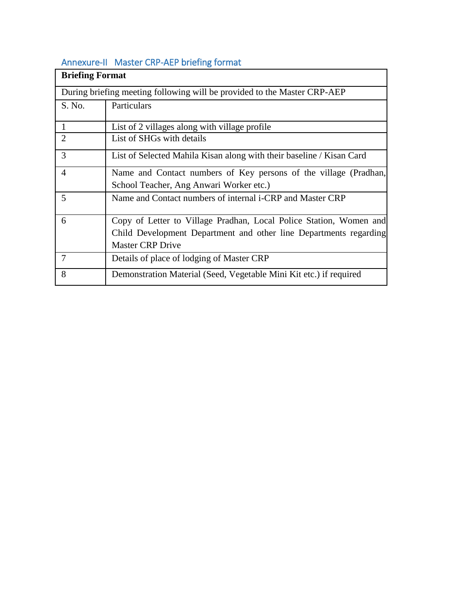## Annexure-II Master CRP-AEP briefing format

| <b>Briefing Format</b> |                                                                          |  |  |  |  |  |  |  |
|------------------------|--------------------------------------------------------------------------|--|--|--|--|--|--|--|
|                        | During briefing meeting following will be provided to the Master CRP-AEP |  |  |  |  |  |  |  |
| S. No.                 | Particulars                                                              |  |  |  |  |  |  |  |
| 1                      | List of 2 villages along with village profile                            |  |  |  |  |  |  |  |
| $\overline{2}$         | List of SHGs with details                                                |  |  |  |  |  |  |  |
| 3                      | List of Selected Mahila Kisan along with their baseline / Kisan Card     |  |  |  |  |  |  |  |
| 4                      | Name and Contact numbers of Key persons of the village (Pradhan,         |  |  |  |  |  |  |  |
|                        | School Teacher, Ang Anwari Worker etc.)                                  |  |  |  |  |  |  |  |
| 5                      | Name and Contact numbers of internal i-CRP and Master CRP                |  |  |  |  |  |  |  |
| 6                      | Copy of Letter to Village Pradhan, Local Police Station, Women and       |  |  |  |  |  |  |  |
|                        | Child Development Department and other line Departments regarding        |  |  |  |  |  |  |  |
|                        | <b>Master CRP Drive</b>                                                  |  |  |  |  |  |  |  |
| 7                      | Details of place of lodging of Master CRP                                |  |  |  |  |  |  |  |
| 8                      | Demonstration Material (Seed, Vegetable Mini Kit etc.) if required       |  |  |  |  |  |  |  |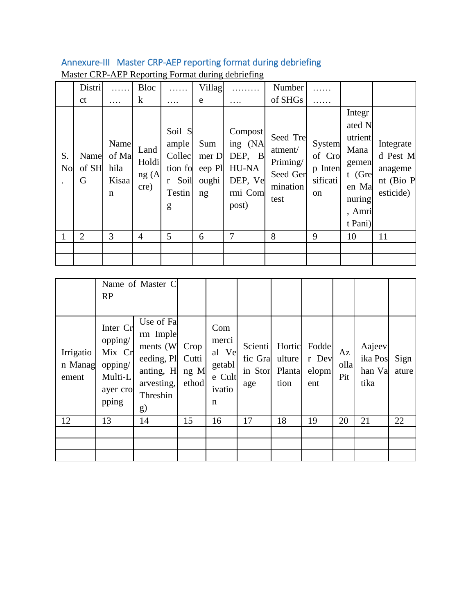## Annexure-III Master CRP-AEP reporting format during debriefing

| S.<br><b>No</b> | Distri<br><sub>ct</sub><br>Name<br>of SH<br>G | Name<br>of Ma<br>hila<br>Kisaa<br>$\mathbf n$ | Bloc<br>$\bf k$<br>Land<br>Holdi<br>ng(A)<br>cre) | .<br>Soil S<br>ample<br>Collec<br>tion fo<br>Soil<br>r<br>Testin<br>g | Villag<br>e<br>Sum<br>mer D<br>eep Pl<br>oughi<br>ng | .<br>Compost<br>ing (NA<br>DEP, B<br>HU-NA<br>DEP, Ve<br>rmi Com<br>post) | Number<br>of SHGs<br>Seed Tre<br>atment/<br>Priming/<br>Seed Ger<br>mination<br>test | System<br>of Cro<br>p Inten<br>sificati<br><sub>on</sub> | Integr<br>ated N<br>utrient<br>Mana<br>gemen<br>$t$ (Gre<br>en Ma<br>nuring<br>, Amri<br>t Pani) | Integrate<br>d Pest M<br>anageme<br>nt (Bio P<br>esticide) |
|-----------------|-----------------------------------------------|-----------------------------------------------|---------------------------------------------------|-----------------------------------------------------------------------|------------------------------------------------------|---------------------------------------------------------------------------|--------------------------------------------------------------------------------------|----------------------------------------------------------|--------------------------------------------------------------------------------------------------|------------------------------------------------------------|
|                 | 2                                             | 3                                             | 4                                                 | 5                                                                     | 6                                                    | 7                                                                         | 8                                                                                    | 9                                                        | 10                                                                                               | 11                                                         |

### Master CRP-AEP Reporting Format during debriefing

|                               | RP                                                                       | Name of Master C                                                                              |                                |                                                          |                                      |                                    |                                |                   |                                     |               |
|-------------------------------|--------------------------------------------------------------------------|-----------------------------------------------------------------------------------------------|--------------------------------|----------------------------------------------------------|--------------------------------------|------------------------------------|--------------------------------|-------------------|-------------------------------------|---------------|
| Irrigatio<br>n Manag<br>ement | Inter Cr<br>opping/<br>Mix Cr<br>opping/<br>Multi-L<br>ayer cro<br>pping | Use of Fa<br>rm Imple<br>ments (W)<br>eeding, Pl<br>anting, H<br>arvesting,<br>Threshin<br>g) | Crop<br>Cutti<br>ng M<br>ethod | Com<br>merci<br>al Ve<br>getabl<br>e Cult<br>ivatio<br>n | Scienti<br>fic Gra<br>in Stor<br>age | Hortic<br>ulture<br>Planta<br>tion | Fodde<br>r Dev<br>elopm<br>ent | Az<br>olla<br>Pit | Aajeev<br>ika Pos<br>han Va<br>tika | Sign<br>ature |
| 12                            | 13                                                                       | 14                                                                                            | 15                             | 16                                                       | 17                                   | 18                                 | 19                             | 20                | 21                                  | 22            |
|                               |                                                                          |                                                                                               |                                |                                                          |                                      |                                    |                                |                   |                                     |               |
|                               |                                                                          |                                                                                               |                                |                                                          |                                      |                                    |                                |                   |                                     |               |
|                               |                                                                          |                                                                                               |                                |                                                          |                                      |                                    |                                |                   |                                     |               |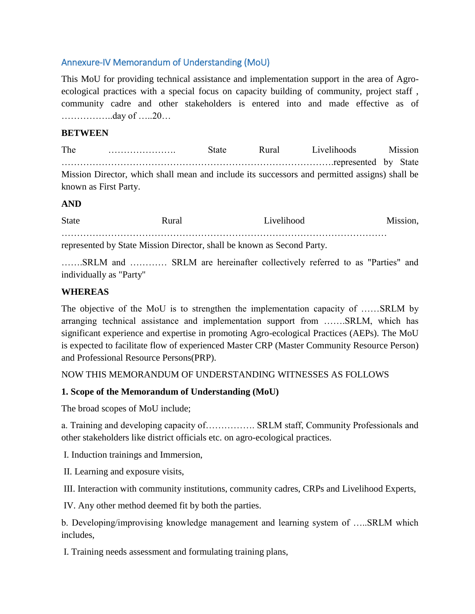### Annexure-IV Memorandum of Understanding (MoU)

This MoU for providing technical assistance and implementation support in the area of Agroecological practices with a special focus on capacity building of community, project staff , community cadre and other stakeholders is entered into and made effective as of ……………..day of …..20…

### **BETWEEN**

The …………………. State Rural Livelihoods Mission …………………………………………………………………………….represented by State Mission Director, which shall mean and include its successors and permitted assigns) shall be known as First Party.

### **AND**

| <b>State</b> | Rural                                                                  | Livelihood | Mission, |
|--------------|------------------------------------------------------------------------|------------|----------|
|              | represented by State Mission Director, shall be known as Second Party. |            |          |

…….SRLM and ………… SRLM are hereinafter collectively referred to as "Parties" and individually as "Party"

### **WHEREAS**

The objective of the MoU is to strengthen the implementation capacity of ……SRLM by arranging technical assistance and implementation support from …….SRLM, which has significant experience and expertise in promoting Agro-ecological Practices (AEPs). The MoU is expected to facilitate flow of experienced Master CRP (Master Community Resource Person) and Professional Resource Persons(PRP).

### NOW THIS MEMORANDUM OF UNDERSTANDING WITNESSES AS FOLLOWS

### **1. Scope of the Memorandum of Understanding (MoU)**

The broad scopes of MoU include;

a. Training and developing capacity of……………. SRLM staff, Community Professionals and other stakeholders like district officials etc. on agro-ecological practices.

I. Induction trainings and Immersion,

II. Learning and exposure visits,

III. Interaction with community institutions, community cadres, CRPs and Livelihood Experts,

IV. Any other method deemed fit by both the parties.

b. Developing/improvising knowledge management and learning system of …..SRLM which includes,

I. Training needs assessment and formulating training plans,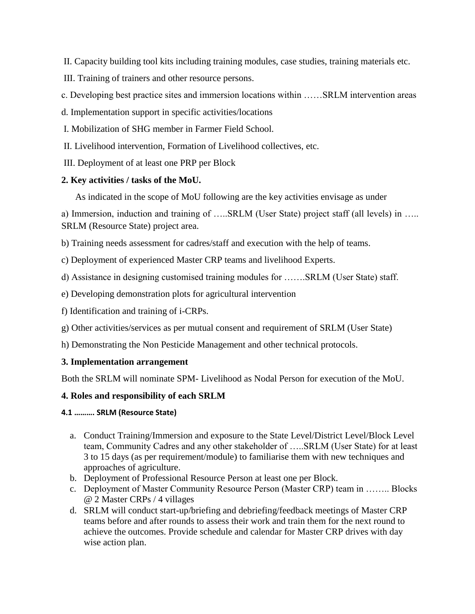II. Capacity building tool kits including training modules, case studies, training materials etc.

- III. Training of trainers and other resource persons.
- c. Developing best practice sites and immersion locations within ……SRLM intervention areas
- d. Implementation support in specific activities/locations
- I. Mobilization of SHG member in Farmer Field School.
- II. Livelihood intervention, Formation of Livelihood collectives, etc.
- III. Deployment of at least one PRP per Block

### **2. Key activities / tasks of the MoU.**

As indicated in the scope of MoU following are the key activities envisage as under

a) Immersion, induction and training of …..SRLM (User State) project staff (all levels) in ….. SRLM (Resource State) project area.

b) Training needs assessment for cadres/staff and execution with the help of teams.

c) Deployment of experienced Master CRP teams and livelihood Experts.

d) Assistance in designing customised training modules for …….SRLM (User State) staff.

e) Developing demonstration plots for agricultural intervention

- f) Identification and training of i-CRPs.
- g) Other activities/services as per mutual consent and requirement of SRLM (User State)

h) Demonstrating the Non Pesticide Management and other technical protocols.

### **3. Implementation arrangement**

Both the SRLM will nominate SPM- Livelihood as Nodal Person for execution of the MoU.

### **4. Roles and responsibility of each SRLM**

### **4.1 ………. SRLM (Resource State)**

- a. Conduct Training/Immersion and exposure to the State Level/District Level/Block Level team, Community Cadres and any other stakeholder of …..SRLM (User State) for at least 3 to 15 days (as per requirement/module) to familiarise them with new techniques and approaches of agriculture.
- b. Deployment of Professional Resource Person at least one per Block.
- c. Deployment of Master Community Resource Person (Master CRP) team in …….. Blocks @ 2 Master CRPs / 4 villages
- d. SRLM will conduct start-up/briefing and debriefing/feedback meetings of Master CRP teams before and after rounds to assess their work and train them for the next round to achieve the outcomes. Provide schedule and calendar for Master CRP drives with day wise action plan.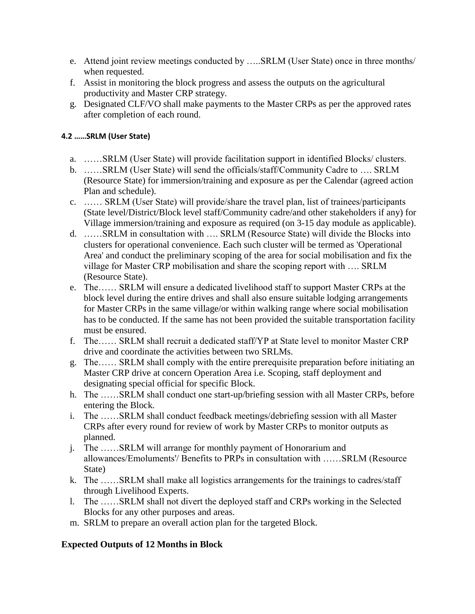- e. Attend joint review meetings conducted by …..SRLM (User State) once in three months/ when requested.
- f. Assist in monitoring the block progress and assess the outputs on the agricultural productivity and Master CRP strategy.
- g. Designated CLF/VO shall make payments to the Master CRPs as per the approved rates after completion of each round.

### **4.2 ……SRLM (User State)**

- a. ……SRLM (User State) will provide facilitation support in identified Blocks/ clusters.
- b. ……SRLM (User State) will send the officials/staff/Community Cadre to …. SRLM (Resource State) for immersion/training and exposure as per the Calendar (agreed action Plan and schedule).
- c. …… SRLM (User State) will provide/share the travel plan, list of trainees/participants (State level/District/Block level staff/Community cadre/and other stakeholders if any) for Village immersion/training and exposure as required (on 3-15 day module as applicable).
- d. ……SRLM in consultation with …. SRLM (Resource State) will divide the Blocks into clusters for operational convenience. Each such cluster will be termed as 'Operational Area' and conduct the preliminary scoping of the area for social mobilisation and fix the village for Master CRP mobilisation and share the scoping report with …. SRLM (Resource State).
- e. The…… SRLM will ensure a dedicated livelihood staff to support Master CRPs at the block level during the entire drives and shall also ensure suitable lodging arrangements for Master CRPs in the same village/or within walking range where social mobilisation has to be conducted. If the same has not been provided the suitable transportation facility must be ensured.
- f. The…… SRLM shall recruit a dedicated staff/YP at State level to monitor Master CRP drive and coordinate the activities between two SRLMs.
- g. The…… SRLM shall comply with the entire prerequisite preparation before initiating an Master CRP drive at concern Operation Area i.e. Scoping, staff deployment and designating special official for specific Block.
- h. The ……SRLM shall conduct one start-up/briefing session with all Master CRPs, before entering the Block.
- i. The ……SRLM shall conduct feedback meetings/debriefing session with all Master CRPs after every round for review of work by Master CRPs to monitor outputs as planned.
- j. The ……SRLM will arrange for monthly payment of Honorarium and allowances/Emoluments'/ Benefits to PRPs in consultation with ……SRLM (Resource State)
- k. The ……SRLM shall make all logistics arrangements for the trainings to cadres/staff through Livelihood Experts.
- l. The ……SRLM shall not divert the deployed staff and CRPs working in the Selected Blocks for any other purposes and areas.
- m. SRLM to prepare an overall action plan for the targeted Block.

### **Expected Outputs of 12 Months in Block**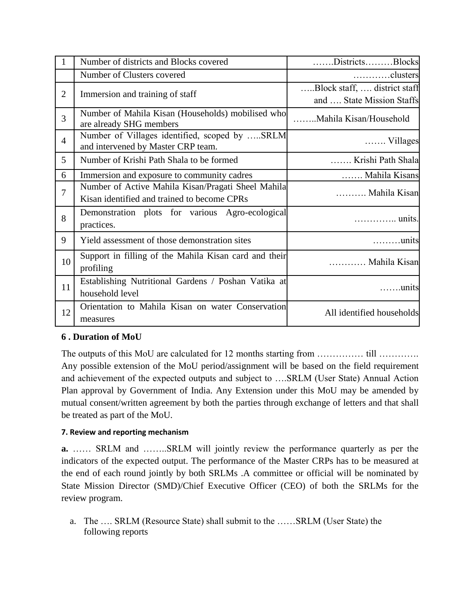|                | Number of districts and Blocks covered                                                            | DistrictsBlocks                                           |
|----------------|---------------------------------------------------------------------------------------------------|-----------------------------------------------------------|
|                | Number of Clusters covered                                                                        | clusters                                                  |
| $\overline{2}$ | Immersion and training of staff                                                                   | Block staff,  district staff<br>and  State Mission Staffs |
| 3              | Number of Mahila Kisan (Households) mobilised who<br>are already SHG members                      | Mahila Kisan/Household                                    |
| $\overline{4}$ | Number of Villages identified, scoped by SRLM<br>and intervened by Master CRP team.               | $\ldots$ Villages                                         |
| 5              | Number of Krishi Path Shala to be formed                                                          | Krishi Path Shala                                         |
| 6              | Immersion and exposure to community cadres                                                        | Mahila Kisans                                             |
| $\overline{7}$ | Number of Active Mahila Kisan/Pragati Sheel Mahila<br>Kisan identified and trained to become CPRs | Mahila Kisan                                              |
| 8              | Demonstration plots for various Agro-ecological<br>practices.                                     | units.                                                    |
| 9              | Yield assessment of those demonstration sites                                                     | $\dots\dots\dots$ units                                   |
| 10             | Support in filling of the Mahila Kisan card and their<br>profiling                                | Mahila Kisan                                              |
| 11             | Establishing Nutritional Gardens / Poshan Vatika at<br>household level                            | $\ldots$ units                                            |
| 12             | Orientation to Mahila Kisan on water Conservation<br>measures                                     | All identified households                                 |

### **6 . Duration of MoU**

The outputs of this MoU are calculated for 12 months starting from …………… till …………. Any possible extension of the MoU period/assignment will be based on the field requirement and achievement of the expected outputs and subject to ….SRLM (User State) Annual Action Plan approval by Government of India. Any Extension under this MoU may be amended by mutual consent/written agreement by both the parties through exchange of letters and that shall be treated as part of the MoU.

### **7. Review and reporting mechanism**

**a.** …… SRLM and ……..SRLM will jointly review the performance quarterly as per the indicators of the expected output. The performance of the Master CRPs has to be measured at the end of each round jointly by both SRLMs .A committee or official will be nominated by State Mission Director (SMD)/Chief Executive Officer (CEO) of both the SRLMs for the review program.

a. The …. SRLM (Resource State) shall submit to the ……SRLM (User State) the following reports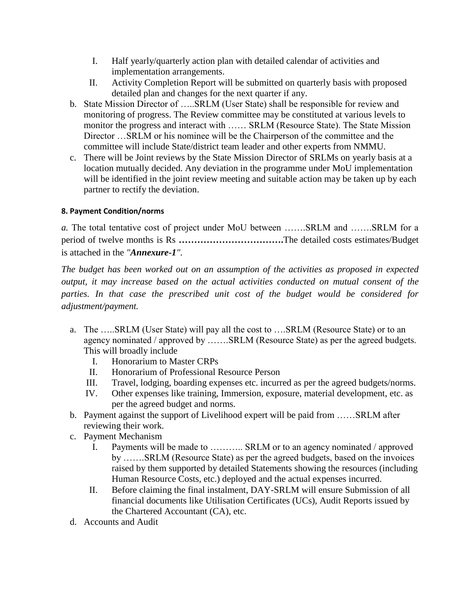- I. Half yearly/quarterly action plan with detailed calendar of activities and implementation arrangements.
- II. Activity Completion Report will be submitted on quarterly basis with proposed detailed plan and changes for the next quarter if any.
- b. State Mission Director of …..SRLM (User State) shall be responsible for review and monitoring of progress. The Review committee may be constituted at various levels to monitor the progress and interact with …… SRLM (Resource State). The State Mission Director …SRLM or his nominee will be the Chairperson of the committee and the committee will include State/district team leader and other experts from NMMU.
- c. There will be Joint reviews by the State Mission Director of SRLMs on yearly basis at a location mutually decided. Any deviation in the programme under MoU implementation will be identified in the joint review meeting and suitable action may be taken up by each partner to rectify the deviation.

### **8. Payment Condition/norms**

*a.* The total tentative cost of project under MoU between …….SRLM and …….SRLM for a period of twelve months is Rs **…………………………….**The detailed costs estimates/Budget is attached in the *"Annexure-1".*

*The budget has been worked out on an assumption of the activities as proposed in expected output, it may increase based on the actual activities conducted on mutual consent of the*  parties. In that case the prescribed unit cost of the budget would be considered for *adjustment/payment.* 

- a. The …..SRLM (User State) will pay all the cost to ….SRLM (Resource State) or to an agency nominated / approved by …….SRLM (Resource State) as per the agreed budgets. This will broadly include
	- I. Honorarium to Master CRPs
	- II. Honorarium of Professional Resource Person
	- III. Travel, lodging, boarding expenses etc. incurred as per the agreed budgets/norms.
	- IV. Other expenses like training, Immersion, exposure, material development, etc. as per the agreed budget and norms.
- b. Payment against the support of Livelihood expert will be paid from ……SRLM after reviewing their work.
- c. Payment Mechanism
	- I. Payments will be made to ……….. SRLM or to an agency nominated / approved by …….SRLM (Resource State) as per the agreed budgets, based on the invoices raised by them supported by detailed Statements showing the resources (including Human Resource Costs, etc.) deployed and the actual expenses incurred.
	- II. Before claiming the final instalment, DAY-SRLM will ensure Submission of all financial documents like Utilisation Certificates (UCs), Audit Reports issued by the Chartered Accountant (CA), etc.
- d. Accounts and Audit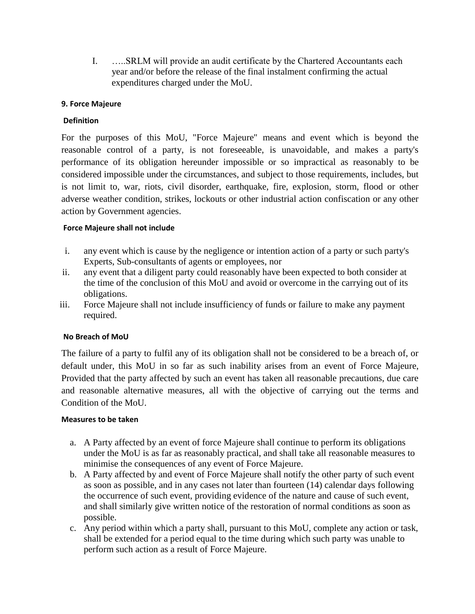I. …..SRLM will provide an audit certificate by the Chartered Accountants each year and/or before the release of the final instalment confirming the actual expenditures charged under the MoU.

### **9. Force Majeure**

### **Definition**

For the purposes of this MoU, "Force Majeure" means and event which is beyond the reasonable control of a party, is not foreseeable, is unavoidable, and makes a party's performance of its obligation hereunder impossible or so impractical as reasonably to be considered impossible under the circumstances, and subject to those requirements, includes, but is not limit to, war, riots, civil disorder, earthquake, fire, explosion, storm, flood or other adverse weather condition, strikes, lockouts or other industrial action confiscation or any other action by Government agencies.

### **Force Majeure shall not include**

- i. any event which is cause by the negligence or intention action of a party or such party's Experts, Sub-consultants of agents or employees, nor
- ii. any event that a diligent party could reasonably have been expected to both consider at the time of the conclusion of this MoU and avoid or overcome in the carrying out of its obligations.
- iii. Force Majeure shall not include insufficiency of funds or failure to make any payment required.

### **No Breach of MoU**

The failure of a party to fulfil any of its obligation shall not be considered to be a breach of, or default under, this MoU in so far as such inability arises from an event of Force Majeure, Provided that the party affected by such an event has taken all reasonable precautions, due care and reasonable alternative measures, all with the objective of carrying out the terms and Condition of the MoU.

### **Measures to be taken**

- a. A Party affected by an event of force Majeure shall continue to perform its obligations under the MoU is as far as reasonably practical, and shall take all reasonable measures to minimise the consequences of any event of Force Majeure.
- b. A Party affected by and event of Force Majeure shall notify the other party of such event as soon as possible, and in any cases not later than fourteen (14) calendar days following the occurrence of such event, providing evidence of the nature and cause of such event, and shall similarly give written notice of the restoration of normal conditions as soon as possible.
- c. Any period within which a party shall, pursuant to this MoU, complete any action or task, shall be extended for a period equal to the time during which such party was unable to perform such action as a result of Force Majeure.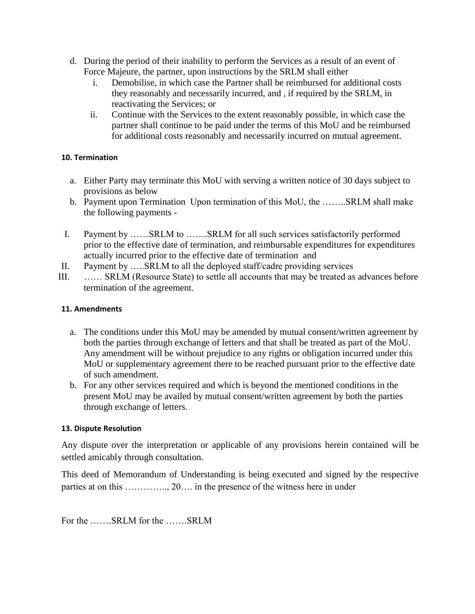- d. During the period of their inability to perform the Services as a result of an event of Force Majeure, the partner, upon instructions by the SRLM shall either
	- i. Demobilise, in which case the Partner shall be reimbursed for additional costs they reasonably and necessarily incurred, and , if required by the SRLM, in reactivating the Services; or
	- ii. Continue with the Services to the extent reasonably possible, in which case the partner shall continue to be paid under the terms of this MoU and be reimbursed for additional costs reasonably and necessarily incurred on mutual agreement.

### **10. Termination**

- a. Either Party may terminate this MoU with serving a written notice of 30 days subject to provisions as below
- b. Payment upon Termination Upon termination of this MoU, the ……..SRLM shall make the following payments -
- I. Payment by ……SRLM to …….SRLM for all such services satisfactorily performed prior to the effective date of termination, and reimbursable expenditures for expenditures actually incurred prior to the effective date of termination and
- II. Payment by …..SRLM to all the deployed staff/cadre providing services
- III. …… SRLM (Resource State) to settle all accounts that may be treated as advances before termination of the agreement.

### **11. Amendments**

- a. The conditions under this MoU may be amended by mutual consent/written agreement by both the parties through exchange of letters and that shall be treated as part of the MoU. Any amendment will be without prejudice to any rights or obligation incurred under this MoU or supplementary agreement there to be reached pursuant prior to the effective date of such amendment.
- b. For any other services required and which is beyond the mentioned conditions in the present MoU may be availed by mutual consent/written agreement by both the parties through exchange of letters.

### **13. Dispute Resolution**

Any dispute over the interpretation or applicable of any provisions herein contained will be settled amicably through consultation.

This deed of Memorandum of Understanding is being executed and signed by the respective parties at on this ………….., 20…. in the presence of the witness here in under

For the …….SRLM for the …….SRLM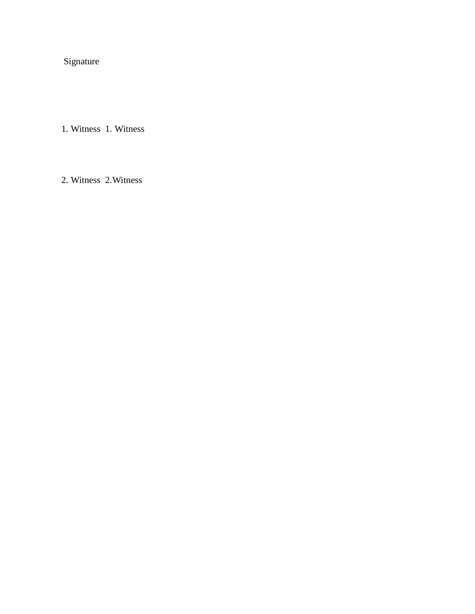Signature

1. Witness 1. Witness

2. Witness 2.Witness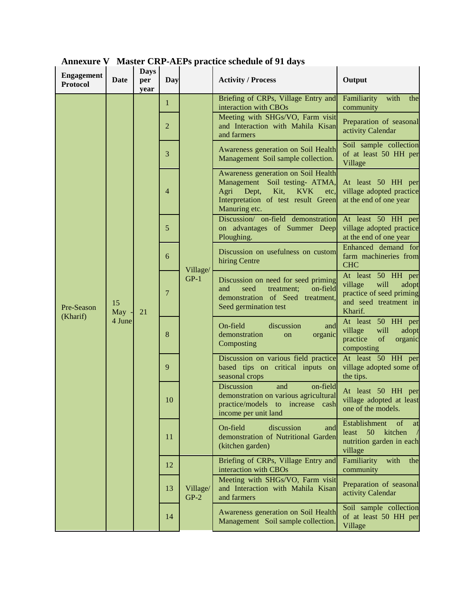| <b>Engagement</b><br><b>Protocol</b> | Date                  | <b>Days</b><br>per<br>year | Day          |                    | <b>Activity / Process</b>                                                                                                                                                    | Output                                                                                                         |
|--------------------------------------|-----------------------|----------------------------|--------------|--------------------|------------------------------------------------------------------------------------------------------------------------------------------------------------------------------|----------------------------------------------------------------------------------------------------------------|
|                                      |                       |                            | $\mathbf{1}$ |                    | Briefing of CRPs, Village Entry and<br>interaction with CBOs                                                                                                                 | with<br>Familiarity<br>the<br>community                                                                        |
|                                      |                       |                            | 2            |                    | Meeting with SHGs/VO, Farm visit<br>and Interaction with Mahila Kisan<br>and farmers                                                                                         | Preparation of seasonal<br>activity Calendar                                                                   |
|                                      |                       |                            | 3            |                    | Awareness generation on Soil Health<br>Management Soil sample collection.                                                                                                    | Soil sample collection<br>of at least 50 HH per<br>Village                                                     |
|                                      |                       |                            | 4            |                    | Awareness generation on Soil Health<br>Management Soil testing- ATMA,<br>Kit,<br>Agri<br>Dept,<br><b>KVK</b><br>etc,<br>Interpretation of test result Green<br>Manuring etc. | At least 50 HH per<br>village adopted practice<br>at the end of one year                                       |
|                                      | 15<br>May -<br>4 June | 21                         | 5            |                    | Discussion/ on-field demonstration<br>on advantages of Summer Deep<br>Ploughing.                                                                                             | At least 50 HH per<br>village adopted practice<br>at the end of one year                                       |
|                                      |                       |                            | 6            | Village/           | Discussion on usefulness on custom<br>hiring Centre                                                                                                                          | Enhanced demand for<br>farm machineries from<br><b>CHC</b>                                                     |
| Pre-Season<br>(Kharif)               |                       |                            | 7            | $GP-1$             | Discussion on need for seed priming<br>and<br>seed<br>treatment;<br>on-field<br>demonstration of Seed treatment,<br>Seed germination test                                    | At least 50 HH per<br>will<br>village<br>adopt<br>practice of seed priming<br>and seed treatment in<br>Kharif. |
|                                      |                       |                            | 8            |                    | On-field<br>discussion<br>and<br>demonstration<br>organic<br>on<br>Composting                                                                                                | At least 50 HH per<br>will<br>village<br>adopt<br>practice<br>of<br>organic<br>composting                      |
|                                      |                       |                            | 9            |                    | Discussion on various field practice<br>based tips on critical inputs on<br>seasonal crops                                                                                   | At least 50 HH per<br>village adopted some of<br>the tips.                                                     |
|                                      |                       |                            | 10           |                    | Discussion<br>on-field<br>and<br>demonstration on various agricultural<br>practice/models to increase cash<br>income per unit land                                           | At least 50 HH per<br>village adopted at least<br>one of the models.                                           |
|                                      |                       |                            | 11           |                    | discussion<br>On-field<br>and<br>demonstration of Nutritional Garden<br>(kitchen garden)                                                                                     | Establishment<br>of<br>at<br>50<br>kitchen<br>least<br>$\sqrt{2}$<br>nutrition garden in each<br>village       |
|                                      |                       |                            | 12           | Village/<br>$GP-2$ | Briefing of CRPs, Village Entry and<br>interaction with CBOs                                                                                                                 | Familiarity<br>with<br>the<br>community                                                                        |
|                                      |                       |                            | 13           |                    | Meeting with SHGs/VO, Farm visit<br>and Interaction with Mahila Kisan<br>and farmers                                                                                         | Preparation of seasonal<br>activity Calendar                                                                   |
|                                      |                       |                            | 14           |                    | Awareness generation on Soil Health<br>Management Soil sample collection.                                                                                                    | Soil sample collection<br>of at least 50 HH per<br>Village                                                     |

**Annexure V Master CRP-AEPs practice schedule of 91 days**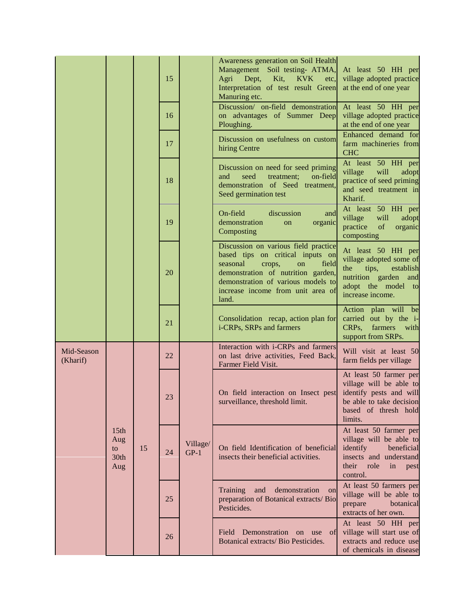|                        |                                              |                                  | 15 |                    | Awareness generation on Soil Health<br>Management Soil testing- ATMA,<br>Agri<br>Dept,<br>Kit,<br><b>KVK</b><br>etc.<br>Interpretation of test result Green<br>Manuring etc.                                                            | At least 50 HH per<br>village adopted practice<br>at the end of one year                                                                      |
|------------------------|----------------------------------------------|----------------------------------|----|--------------------|-----------------------------------------------------------------------------------------------------------------------------------------------------------------------------------------------------------------------------------------|-----------------------------------------------------------------------------------------------------------------------------------------------|
|                        |                                              |                                  | 16 |                    | Discussion/ on-field demonstration<br>on advantages of Summer Deep<br>Ploughing.                                                                                                                                                        | At least 50 HH per<br>village adopted practice<br>at the end of one year                                                                      |
|                        |                                              |                                  | 17 |                    | Discussion on usefulness on custom<br>hiring Centre                                                                                                                                                                                     | Enhanced demand for<br>farm machineries from<br><b>CHC</b>                                                                                    |
|                        |                                              |                                  | 18 |                    | Discussion on need for seed priming<br>seed<br>and<br>treatment;<br>on-field<br>demonstration of Seed treatment,<br>Seed germination test                                                                                               | At least 50 HH per<br>village<br>will<br>adopt<br>practice of seed priming<br>and seed treatment in<br>Kharif.                                |
|                        |                                              |                                  | 19 |                    | On-field<br>discussion<br>and<br>demonstration<br>organic<br>on<br>Composting                                                                                                                                                           | At least 50 HH per<br>will<br>village<br>adopt<br>practice<br>of<br>organic<br>composting                                                     |
|                        |                                              |                                  | 20 |                    | Discussion on various field practice<br>based tips on critical inputs on<br>seasonal<br>field<br>crops,<br>on<br>demonstration of nutrition garden,<br>demonstration of various models to<br>increase income from unit area of<br>land. | At least 50 HH per<br>village adopted some of<br>the<br>tips,<br>establish<br>nutrition garden and<br>adopt the model to<br>increase income.  |
|                        |                                              |                                  | 21 |                    | Consolidation recap, action plan for<br>i-CRPs, SRPs and farmers                                                                                                                                                                        | Action plan will be<br>carried out by the i-<br>farmers with<br>CRP <sub>s</sub><br>support from SRPs.                                        |
| Mid-Season<br>(Kharif) |                                              | 22<br>23<br>15<br>24<br>25<br>26 |    | Village/<br>$GP-1$ | Interaction with i-CRPs and farmers<br>on last drive activities, Feed Back,<br>Farmer Field Visit.                                                                                                                                      | Will visit at least 50<br>farm fields per village                                                                                             |
|                        | 15 <sub>th</sub><br>Aug<br>to<br>30th<br>Aug |                                  |    |                    | On field interaction on Insect pest<br>surveillance, threshold limit.                                                                                                                                                                   | At least 50 farmer per<br>village will be able to<br>identify pests and will<br>be able to take decision<br>based of thresh hold<br>limits.   |
|                        |                                              |                                  |    |                    | On field Identification of beneficial<br>insects their beneficial activities.                                                                                                                                                           | At least 50 farmer per<br>village will be able to<br>identify<br>beneficial<br>insects and understand<br>their role<br>in<br>pest<br>control. |
|                        |                                              |                                  |    |                    | demonstration<br><b>Training</b><br>and<br>on<br>preparation of Botanical extracts/ Bio<br>Pesticides.                                                                                                                                  | At least 50 farmers per<br>village will be able to<br>prepare<br>botanical<br>extracts of her own.                                            |
|                        |                                              |                                  |    |                    | Field Demonstration on use of<br>Botanical extracts/ Bio Pesticides.                                                                                                                                                                    | At least 50 HH per<br>village will start use of<br>extracts and reduce use<br>of chemicals in disease                                         |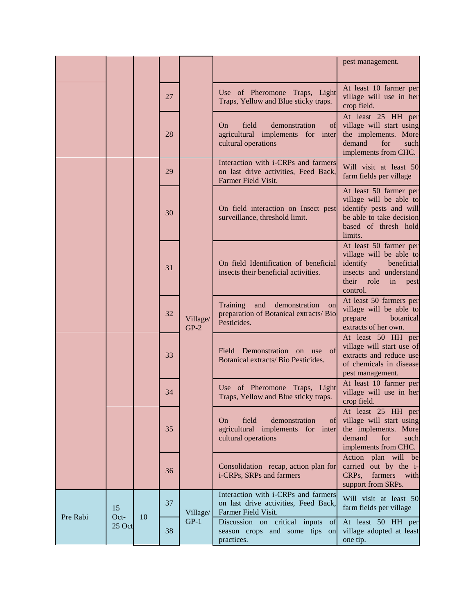|          |                      |  |          |                                                                               |                                                                                                                                               | pest management.                                                                                                                            |
|----------|----------------------|--|----------|-------------------------------------------------------------------------------|-----------------------------------------------------------------------------------------------------------------------------------------------|---------------------------------------------------------------------------------------------------------------------------------------------|
|          |                      |  | 27       |                                                                               | Use of Pheromone Traps, Light<br>Traps, Yellow and Blue sticky traps.                                                                         | At least 10 farmer per<br>village will use in her<br>crop field.                                                                            |
|          |                      |  | 28       |                                                                               | field<br>On<br>demonstration<br>of<br>agricultural implements for inter<br>cultural operations                                                | At least 25 HH per<br>village will start using<br>the implements. More<br>demand<br>for<br>such<br>implements from CHC.                     |
|          |                      |  | 29       |                                                                               | Interaction with i-CRPs and farmers<br>on last drive activities, Feed Back,<br>Farmer Field Visit.                                            | Will visit at least 50<br>farm fields per village                                                                                           |
|          |                      |  | 30       |                                                                               | On field interaction on Insect pest<br>surveillance, threshold limit.                                                                         | At least 50 farmer per<br>village will be able to<br>identify pests and will<br>be able to take decision<br>based of thresh hold<br>limits. |
|          | 31                   |  |          | On field Identification of beneficial<br>insects their beneficial activities. | At least 50 farmer per<br>village will be able to<br>identify<br>beneficial<br>insects and understand<br>their role<br>in<br>pest<br>control. |                                                                                                                                             |
|          |                      |  | 32       | Village/<br>$GP-2$                                                            | Training<br>and<br>demonstration<br>on<br>preparation of Botanical extracts/ Bio<br>Pesticides.                                               | At least 50 farmers per<br>village will be able to<br>prepare<br>botanical<br>extracts of her own.                                          |
|          |                      |  | 33       |                                                                               | Field Demonstration on use of<br>Botanical extracts/ Bio Pesticides.                                                                          | At least 50 HH per<br>village will start use of<br>extracts and reduce use<br>of chemicals in disease<br>pest management.                   |
|          |                      |  | 34       |                                                                               | Use of Pheromone Traps, Light<br>Traps, Yellow and Blue sticky traps.                                                                         | At least 10 farmer per<br>village will use in her<br>crop field.                                                                            |
|          |                      |  | 35       |                                                                               | field<br>On<br>demonstration<br>of<br>agricultural implements for inter<br>cultural operations                                                | At least 25 HH per<br>village will start using<br>the implements. More<br>demand<br>for<br>such<br>implements from CHC.                     |
|          |                      |  | 36       |                                                                               | Consolidation recap, action plan for<br>i-CRPs, SRPs and farmers                                                                              | Action plan will be<br>carried out by the i-<br>CRPs,<br>farmers with<br>support from SRPs.                                                 |
| Pre Rabi | 15<br>Oct-<br>25 Oct |  | 37       | Village/                                                                      | Interaction with i-CRPs and farmers<br>on last drive activities, Feed Back,<br>Farmer Field Visit.                                            | Will visit at least 50<br>farm fields per village                                                                                           |
|          |                      |  | 10<br>38 | $GP-1$                                                                        | Discussion on critical inputs of<br>season crops and some tips<br>on<br>practices.                                                            | At least 50 HH per<br>village adopted at least<br>one tip.                                                                                  |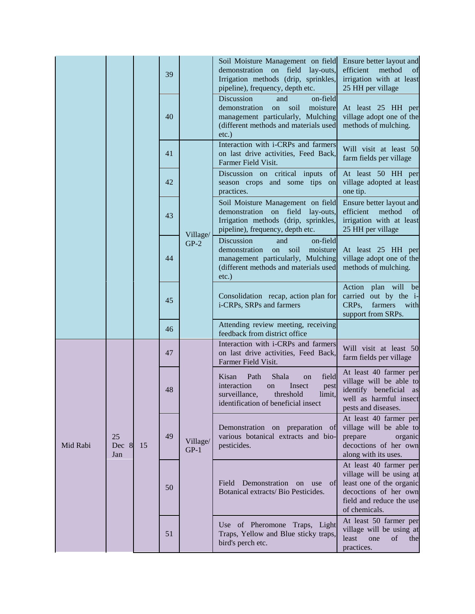|          |                    |    | 39 |                    | Soil Moisture Management on field<br>demonstration<br>on field<br>lay-outs,<br>Irrigation methods (drip, sprinkles,<br>pipeline), frequency, depth etc.                           | Ensure better layout and<br>efficient<br>method<br>of<br>irrigation with at least<br>25 HH per village                                               |
|----------|--------------------|----|----|--------------------|-----------------------------------------------------------------------------------------------------------------------------------------------------------------------------------|------------------------------------------------------------------------------------------------------------------------------------------------------|
|          |                    |    | 40 |                    | Discussion<br>on-field<br>and<br>demonstration<br>moisture<br>on<br>soil<br>management particularly, Mulching<br>(different methods and materials used<br>$etc.$ )                | At least 25 HH per<br>village adopt one of the<br>methods of mulching.                                                                               |
|          |                    |    | 41 | Village/<br>$GP-2$ | Interaction with i-CRPs and farmers<br>on last drive activities, Feed Back,<br>Farmer Field Visit.                                                                                | Will visit at least 50<br>farm fields per village                                                                                                    |
|          |                    |    | 42 |                    | Discussion on critical inputs<br>of<br>season crops and some tips<br>on<br>practices.                                                                                             | At least 50 HH per<br>village adopted at least<br>one tip.                                                                                           |
|          |                    |    | 43 |                    | Soil Moisture Management on field<br>demonstration on field lay-outs,<br>Irrigation methods (drip, sprinkles,<br>pipeline), frequency, depth etc.                                 | Ensure better layout and<br>efficient<br>method<br>of<br>irrigation with at least<br>25 HH per village                                               |
|          |                    |    | 44 |                    | Discussion<br>on-field<br>and<br>demonstration<br>soil<br>moisture<br>on<br>management particularly, Mulching<br>(different methods and materials used<br>$etc.$ )                | At least 25 HH per<br>village adopt one of the<br>methods of mulching.                                                                               |
|          |                    |    | 45 |                    | Consolidation recap, action plan for<br>i-CRPs, SRPs and farmers                                                                                                                  | plan will<br>Action<br>be<br>carried out by the i-<br>CRPs,<br>farmers<br>with<br>support from SRPs.                                                 |
|          |                    |    | 46 |                    | Attending review meeting, receiving<br>feedback from district office                                                                                                              |                                                                                                                                                      |
|          |                    |    | 47 | Village/<br>$GP-1$ | Interaction with i-CRPs and farmers<br>on last drive activities, Feed Back,<br>Farmer Field Visit.                                                                                | Will visit at least 50<br>farm fields per village                                                                                                    |
|          |                    |    | 48 |                    | field<br>Kisan<br>Path<br>Shala<br><sub>on</sub><br>interaction<br>Insect<br><sub>on</sub><br>pest<br>surveillance,<br>threshold<br>limit,<br>identification of beneficial insect | At least 40 farmer per<br>village will be able to<br>identify beneficial as<br>well as harmful insect<br>pests and diseases.                         |
| Mid Rabi | 25<br>Dec 8<br>Jan | 15 | 49 |                    | Demonstration on preparation of<br>various botanical extracts and bio-<br>pesticides.                                                                                             | At least 40 farmer per<br>village will be able to<br>prepare<br>organic<br>decoctions of her own<br>along with its uses.                             |
|          |                    |    | 50 |                    | Demonstration<br>Field<br>on use of<br>Botanical extracts/ Bio Pesticides.                                                                                                        | At least 40 farmer per<br>village will be using at<br>least one of the organic<br>decoctions of her own<br>field and reduce the use<br>of chemicals. |
|          |                    |    | 51 |                    | Use of Pheromone Traps, Light<br>Traps, Yellow and Blue sticky traps,<br>bird's perch etc.                                                                                        | At least 50 farmer per<br>village will be using at<br>least<br>one<br>of<br>the<br>practices.                                                        |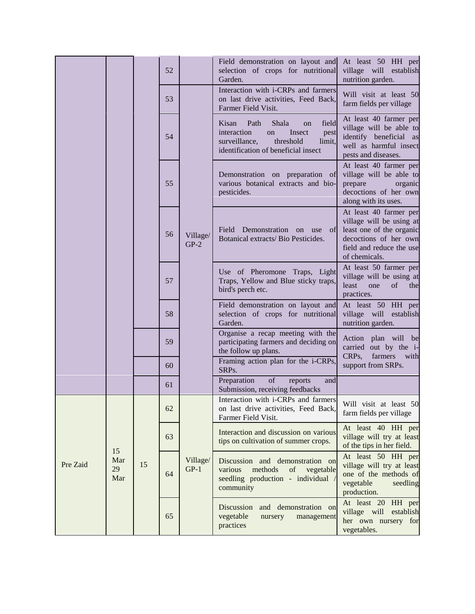|          |                        |    | 52 |                    | Field demonstration on layout and<br>selection of crops for nutritional<br>Garden.                                                                          | At least 50 HH per<br>village will establish<br>nutrition garden.                                                                                    |
|----------|------------------------|----|----|--------------------|-------------------------------------------------------------------------------------------------------------------------------------------------------------|------------------------------------------------------------------------------------------------------------------------------------------------------|
|          |                        |    | 53 | Village/<br>$GP-2$ | Interaction with i-CRPs and farmers<br>on last drive activities, Feed Back,<br>Farmer Field Visit.                                                          | Will visit at least 50<br>farm fields per village                                                                                                    |
|          |                        |    | 54 |                    | Path<br>Shala<br>field<br>Kisan<br>on<br>interaction<br>Insect<br>on<br>pest<br>surveillance,<br>threshold<br>limit,<br>identification of beneficial insect | At least 40 farmer per<br>village will be able to<br>identify beneficial as<br>well as harmful insect<br>pests and diseases.                         |
|          |                        |    | 55 |                    | Demonstration on preparation of<br>various botanical extracts and bio-<br>pesticides.                                                                       | At least 40 farmer per<br>village will be able to<br>prepare<br>organic<br>decoctions of her own<br>along with its uses.                             |
|          |                        |    | 56 |                    | Field Demonstration on use<br>of<br>Botanical extracts/ Bio Pesticides.                                                                                     | At least 40 farmer per<br>village will be using at<br>least one of the organic<br>decoctions of her own<br>field and reduce the use<br>of chemicals. |
|          |                        |    | 57 |                    | Use of Pheromone Traps, Light<br>Traps, Yellow and Blue sticky traps,<br>bird's perch etc.                                                                  | At least 50 farmer per<br>village will be using at<br>$\sigma$ f<br>least<br>one<br>the<br>practices.                                                |
|          |                        |    | 58 |                    | Field demonstration on layout and<br>selection of crops for nutritional<br>Garden.                                                                          | At least 50 HH per<br>village will establish<br>nutrition garden.                                                                                    |
|          |                        |    | 59 |                    | Organise a recap meeting with the<br>participating farmers and deciding on<br>the follow up plans.<br>Framing action plan for the i-CRPs,                   | Action plan will be<br>carried out by the i-<br>CRPs,<br>farmers with                                                                                |
|          |                        |    | 60 |                    | SRPs.<br>Preparation<br>of<br>reports<br>and                                                                                                                | support from SRPs.                                                                                                                                   |
|          |                        |    | 61 |                    | Submission, receiving feedbacks                                                                                                                             |                                                                                                                                                      |
|          | 15<br>Mar<br>29<br>Mar | 15 | 62 | Village/<br>$GP-1$ | Interaction with <i>i</i> -CRPs and farmers<br>on last drive activities, Feed Back,<br>Farmer Field Visit.                                                  | Will visit at least 50<br>farm fields per village                                                                                                    |
|          |                        |    | 63 |                    | Interaction and discussion on various<br>tips on cultivation of summer crops.                                                                               | At least 40 HH per<br>village will try at least<br>of the tips in her field.                                                                         |
| Pre Zaid |                        |    | 64 |                    | Discussion and demonstration on<br>various<br>methods<br>of<br>vegetable<br>seedling production - individual<br>community                                   | At least 50 HH per<br>village will try at least<br>one of the methods of<br>vegetable<br>seedling<br>production.                                     |
|          |                        |    | 65 |                    | Discussion<br>and demonstration on<br>vegetable<br>management<br>nursery<br>practices                                                                       | At least 20<br>HH per<br>village will<br>establish<br>her own nursery for<br>vegetables.                                                             |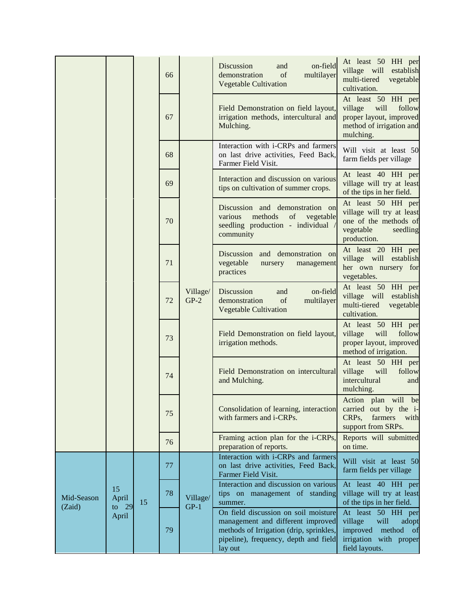|                      |                   |          | 66 |                    | on-field<br>Discussion<br>and<br>demonstration<br>of<br>multilayer<br><b>Vegetable Cultivation</b>                                                                       | At least 50 HH per<br>village will<br>establish<br>multi-tiered<br>vegetable<br>cultivation.                             |
|----------------------|-------------------|----------|----|--------------------|--------------------------------------------------------------------------------------------------------------------------------------------------------------------------|--------------------------------------------------------------------------------------------------------------------------|
|                      |                   |          | 67 |                    | Field Demonstration on field layout,<br>irrigation methods, intercultural and<br>Mulching.                                                                               | At least 50 HH per<br>village<br>will<br>follow<br>proper layout, improved<br>method of irrigation and<br>mulching.      |
|                      |                   |          | 68 | Village/<br>$GP-2$ | Interaction with i-CRPs and farmers<br>on last drive activities, Feed Back,<br>Farmer Field Visit.                                                                       | Will visit at least 50<br>farm fields per village                                                                        |
|                      |                   |          | 69 |                    | Interaction and discussion on various<br>tips on cultivation of summer crops.                                                                                            | At least 40 HH per<br>village will try at least<br>of the tips in her field.                                             |
|                      |                   |          | 70 |                    | Discussion and demonstration on<br>various<br>methods<br>of<br>vegetable<br>seedling production - individual<br>community                                                | At least 50 HH per<br>village will try at least<br>one of the methods of<br>vegetable<br>seedling<br>production.         |
|                      |                   |          | 71 |                    | Discussion and demonstration on<br>vegetable<br>management<br>nursery<br>practices                                                                                       | At least 20 HH per<br>village will establish<br>her own nursery for<br>vegetables.                                       |
|                      |                   |          | 72 |                    | Discussion<br>on-field<br>and<br>of<br>demonstration<br>multilayer<br><b>Vegetable Cultivation</b>                                                                       | At least 50 HH per<br>village will establish<br>multi-tiered<br>vegetable<br>cultivation.                                |
|                      |                   |          | 73 |                    | Field Demonstration on field layout,<br>irrigation methods.                                                                                                              | At least 50 HH per<br>will<br>follow<br>village<br>proper layout, improved<br>method of irrigation.                      |
|                      |                   |          | 74 |                    | Field Demonstration on intercultural<br>and Mulching.                                                                                                                    | At least 50 HH per<br>will<br>village<br>follow<br>intercultural<br>and<br>mulching.                                     |
|                      |                   |          | 75 |                    | Consolidation of learning, interaction<br>with farmers and i-CRPs.                                                                                                       | Action plan will be<br>carried out by the i-<br>CRPs,<br>farmers<br>with<br>support from SRPs.                           |
|                      |                   |          | 76 |                    | Framing action plan for the i-CRPs,<br>preparation of reports.                                                                                                           | Reports will submitted<br>on time.                                                                                       |
|                      |                   | 15<br>29 | 77 | Village/<br>$GP-1$ | Interaction with i-CRPs and farmers<br>on last drive activities, Feed Back,<br>Farmer Field Visit.                                                                       | Will visit at least 50<br>farm fields per village                                                                        |
| Mid-Season<br>(Zaid) | 15<br>April<br>to |          | 78 |                    | Interaction and discussion on various<br>tips on management of standing<br>summer.                                                                                       | At least 40 HH per<br>village will try at least<br>of the tips in her field.                                             |
|                      | April             |          | 79 |                    | On field discussion on soil moisture<br>management and different improved<br>methods of Irrigation (drip, sprinkles,<br>pipeline), frequency, depth and field<br>lay out | At least 50 HH per<br>village<br>will<br>adopt<br>improved<br>method<br>- of<br>irrigation with proper<br>field layouts. |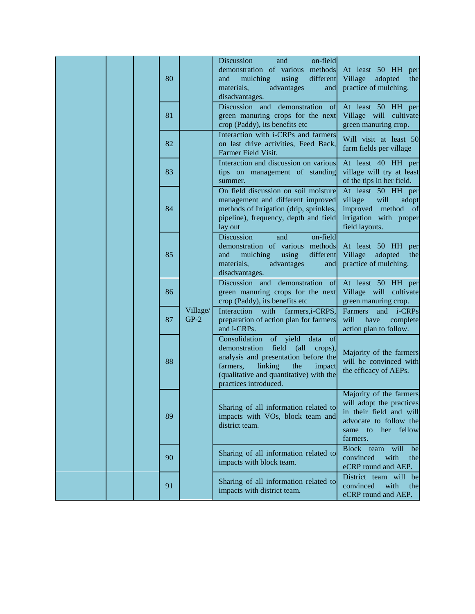|  |  |  | 80 |                    | on-field<br>Discussion<br>and<br>demonstration of various methods<br>different<br>mulching<br>using<br>and<br>materials,<br>advantages<br>and<br>disadvantages.                                                                          | At least 50 HH per<br>Village<br>adopted<br>the<br>practice of mulching.                                                                      |
|--|--|--|----|--------------------|------------------------------------------------------------------------------------------------------------------------------------------------------------------------------------------------------------------------------------------|-----------------------------------------------------------------------------------------------------------------------------------------------|
|  |  |  | 81 |                    | Discussion and<br>demonstration of<br>green manuring crops for the next<br>crop (Paddy), its benefits etc                                                                                                                                | At least 50 HH per<br>Village will cultivate<br>green manuring crop.                                                                          |
|  |  |  | 82 |                    | Interaction with i-CRPs and farmers<br>on last drive activities, Feed Back,<br>Farmer Field Visit.                                                                                                                                       | Will visit at least 50<br>farm fields per village                                                                                             |
|  |  |  | 83 |                    | Interaction and discussion on various<br>tips on management of standing<br>summer.                                                                                                                                                       | At least 40 HH per<br>village will try at least<br>of the tips in her field.                                                                  |
|  |  |  | 84 |                    | On field discussion on soil moisture<br>management and different improved<br>methods of Irrigation (drip, sprinkles,<br>pipeline), frequency, depth and field<br>lay out                                                                 | At least 50 HH per<br>village<br>will<br>adopt<br>improved<br>method<br>- of<br>irrigation with proper<br>field layouts.                      |
|  |  |  | 85 |                    | Discussion<br>on-field<br>and<br>demonstration of various methods<br>using<br>different<br>mulching<br>and<br>materials,<br>advantages<br>and<br>disadvantages.                                                                          | At least 50 HH per<br>Village<br>adopted<br>the<br>practice of mulching.                                                                      |
|  |  |  | 86 |                    | Discussion and demonstration of<br>green manuring crops for the next<br>crop (Paddy), its benefits etc                                                                                                                                   | At least 50 HH per<br>Village will cultivate<br>green manuring crop.                                                                          |
|  |  |  | 87 | Village/<br>$GP-2$ | Interaction<br>farmers, i-CRPS,<br>with<br>preparation of action plan for farmers<br>and i-CRPs.                                                                                                                                         | Farmers<br><i>i</i> -CRPs<br>and<br>will<br>have<br>complete<br>action plan to follow.                                                        |
|  |  |  | 88 |                    | Consolidation<br>of yield<br>data<br>of<br>demonstration<br>field<br>(all<br>crops),<br>analysis and presentation before the<br>farmers,<br>linking<br>the<br>impact<br>(qualitative and quantitative) with the<br>practices introduced. | Majority of the farmers<br>will be convinced with<br>the efficacy of AEPs.                                                                    |
|  |  |  | 89 |                    | Sharing of all information related to<br>impacts with VOs, block team and<br>district team.                                                                                                                                              | Majority of the farmers<br>will adopt the practices<br>in their field and will<br>advocate to follow the<br>her fellow<br>same to<br>farmers. |
|  |  |  | 90 |                    | Sharing of all information related to<br>impacts with block team.                                                                                                                                                                        | Block team<br>will<br>be<br>with<br>convinced<br>the<br>eCRP round and AEP.                                                                   |
|  |  |  | 91 |                    | Sharing of all information related to<br>impacts with district team.                                                                                                                                                                     | District team will be<br>convinced<br>with<br>the<br>eCRP round and AEP.                                                                      |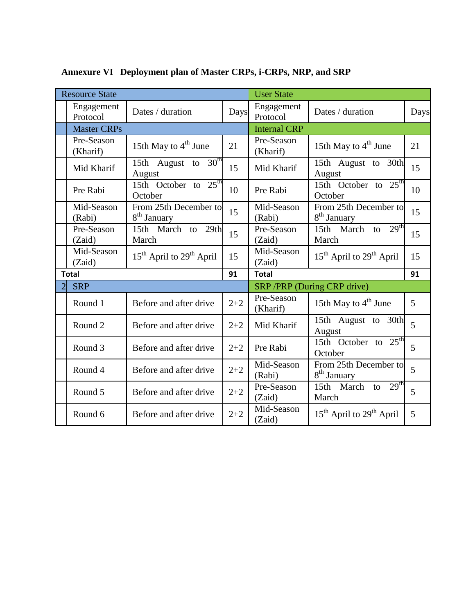| <b>Resource State</b>  |                                                  | <b>User State</b> |                            |                                                  |      |
|------------------------|--------------------------------------------------|-------------------|----------------------------|--------------------------------------------------|------|
| Engagement<br>Protocol | Dates / duration                                 | Days              | Engagement<br>Protocol     | Dates / duration                                 | Days |
| <b>Master CRPs</b>     |                                                  |                   | <b>Internal CRP</b>        |                                                  |      |
| Pre-Season<br>(Kharif) | 15th May to $4th$ June                           | 21                | Pre-Season<br>(Kharif)     | 15th May to $4th$ June                           | 21   |
| Mid Kharif             | 15th August to $30th$<br>August                  | 15                | Mid Kharif                 | 15th August to 30th<br>August                    | 15   |
| Pre Rabi               | 15th October to $25th$<br>October                | 10                | Pre Rabi                   | 15th October to $25th$<br>October                | 10   |
| Mid-Season<br>(Rabi)   | From 25th December to<br>8 <sup>th</sup> January | 15                | Mid-Season<br>(Rabi)       | From 25th December to<br>8 <sup>th</sup> January | 15   |
| Pre-Season<br>(Zaid)   | 15th March to 29th<br>March                      | 15                | Pre-Season<br>(Zaid)       | 15th March to $29th$<br>March                    | 15   |
| Mid-Season<br>(Zaid)   | $15th$ April to $29th$ April                     | 15                | Mid-Season<br>(Zaid)       | $15th$ April to $29th$ April                     | 15   |
| <b>Total</b>           |                                                  | 91                | <b>Total</b>               |                                                  |      |
| <b>SRP</b>             |                                                  |                   | SRP/PRP (During CRP drive) |                                                  |      |
| Round 1                | Before and after drive                           | $2 + 2$           | Pre-Season<br>(Kharif)     | 15th May to $4th$ June                           | 5    |
| Round 2                | Before and after drive                           | $2 + 2$           | Mid Kharif                 | 15th August to 30th<br>August                    | 5    |
| Round 3                | Before and after drive                           | $2 + 2$           | Pre Rabi                   | 15th October to $25th$<br>October                | 5    |
| Round 4                | Before and after drive                           | $2 + 2$           | Mid-Season<br>(Rabi)       | From 25th December to<br>8 <sup>th</sup> January | 5    |
| Round 5                | Before and after drive                           | $2 + 2$           | Pre-Season<br>(Zaid)       | 15th March to $29th$<br>March                    | 5    |
| Round 6                | Before and after drive                           | $2 + 2$           | Mid-Season<br>(Zaid)       | $15th$ April to $29th$ April                     | 5    |

**Annexure VI Deployment plan of Master CRPs, i-CRPs, NRP, and SRP**